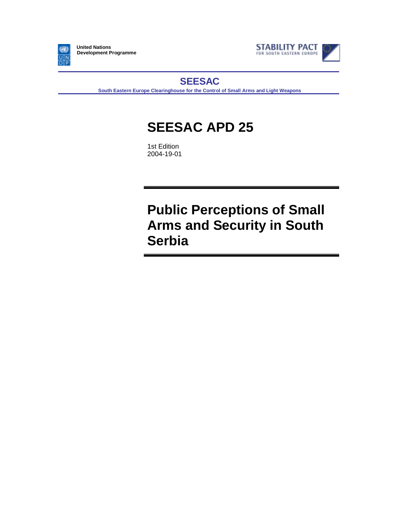

**United Nations Development Programme**



**SEESAC**

**South Eastern Europe Clearinghouse for the Control of Small Arms and Light Weapons**

# **SEESAC APD 25**

1st Edition 2004-19-01

**Public Perceptions of Small Arms and Security in South Serbia**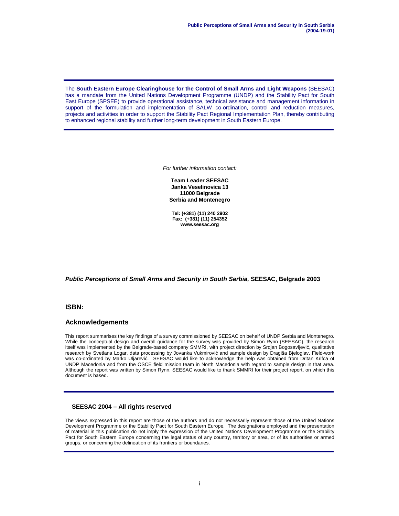The **South Eastern Europe Clearinghouse for the Control of Small Arms and Light Weapons** (SEESAC) has a mandate from the United Nations Development Programme (UNDP) and the Stability Pact for South East Europe (SPSEE) to provide operational assistance, technical assistance and management information in support of the formulation and implementation of SALW co-ordination, control and reduction measures, projects and activities in order to support the Stability Pact Regional Implementation Plan, thereby contributing to enhanced regional stability and further long-term development in South Eastern Europe.

For further information contact:

**Team Leader SEESAC Janka Veselinovica 13 11000 Belgrade Serbia and Montenegro**

**Tel: (+381) (11) 240 2902 Fax: (+381) (11) 254352 www.seesac.org**

**Public Perceptions of Small Arms and Security in South Serbia, SEESAC, Belgrade 2003**

### **ISBN:**

#### **Acknowledgements**

This report summarises the key findings of a survey commissioned by SEESAC on behalf of UNDP Serbia and Montenegro. While the conceptual design and overall guidance for the survey was provided by Simon Rynn (SEESAC), the research itself was implemented by the Belgrade-based company SMMRI, with project direction by Srdjan Bogosavljević, qualitative research by Svetlana Logar, data processing by Jovanka Vukmirović and sample design by Dragiša Bjeloglav. Field-work was co-ordinated by Marko Uljarević. SEESAC would like to acknowledge the help was obtained from Dritan Krifca of UNDP Macedonia and from the OSCE field mission team in North Macedonia with regard to sample design in that area. Although the report was written by Simon Rynn, SEESAC would like to thank SMMRI for their project report, on which this document is based.

#### **SEESAC 2004 – All rights reserved**

The views expressed in this report are those of the authors and do not necessarily represent those of the United Nations Development Programme or the Stability Pact for South Eastern Europe. The designations employed and the presentation of material in this publication do not imply the expression of the United Nations Development Programme or the Stability Pact for South Eastern Europe concerning the legal status of any country, territory or area, or of its authorities or armed groups, or concerning the delineation of its frontiers or boundaries.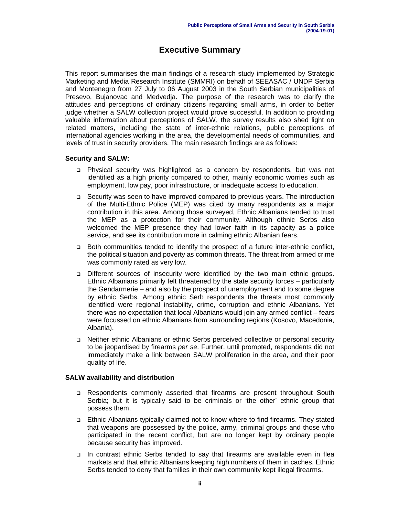# **Executive Summary**

This report summarises the main findings of a research study implemented by Strategic Marketing and Media Research Institute (SMMRI) on behalf of SEEASAC / UNDP Serbia and Montenegro from 27 July to 06 August 2003 in the South Serbian municipalities of Presevo, Bujanovac and Medvedja. The purpose of the research was to clarify the attitudes and perceptions of ordinary citizens regarding small arms, in order to better judge whether a SALW collection project would prove successful. In addition to providing valuable information about perceptions of SALW, the survey results also shed light on related matters, including the state of inter-ethnic relations, public perceptions of international agencies working in the area, the developmental needs of communities, and levels of trust in security providers. The main research findings are as follows:

### **Security and SALW:**

- ! Physical security was highlighted as a concern by respondents, but was not identified as a high priority compared to other, mainly economic worries such as employment, low pay, poor infrastructure, or inadequate access to education.
- ! Security was seen to have improved compared to previous years. The introduction of the Multi-Ethnic Police (MEP) was cited by many respondents as a major contribution in this area. Among those surveyed, Ethnic Albanians tended to trust the MEP as a protection for their community. Although ethnic Serbs also welcomed the MEP presence they had lower faith in its capacity as a police service, and see its contribution more in calming ethnic Albanian fears.
- ! Both communities tended to identify the prospect of a future inter-ethnic conflict, the political situation and poverty as common threats. The threat from armed crime was commonly rated as very low.
- ! Different sources of insecurity were identified by the two main ethnic groups. Ethnic Albanians primarily felt threatened by the state security forces – particularly the Gendarmerie – and also by the prospect of unemployment and to some degree by ethnic Serbs. Among ethnic Serb respondents the threats most commonly identified were regional instability, crime, corruption and ethnic Albanians. Yet there was no expectation that local Albanians would join any armed conflict – fears were focussed on ethnic Albanians from surrounding regions (Kosovo, Macedonia, Albania).
- ! Neither ethnic Albanians or ethnic Serbs perceived collective or personal security to be jeopardised by firearms per se. Further, until prompted, respondents did not immediately make a link between SALW proliferation in the area, and their poor quality of life.

# **SALW availability and distribution**

- ! Respondents commonly asserted that firearms are present throughout South Serbia; but it is typically said to be criminals or 'the other' ethnic group that possess them.
- ! Ethnic Albanians typically claimed not to know where to find firearms. They stated that weapons are possessed by the police, army, criminal groups and those who participated in the recent conflict, but are no longer kept by ordinary people because security has improved.
- ! In contrast ethnic Serbs tended to say that firearms are available even in flea markets and that ethnic Albanians keeping high numbers of them in caches. Ethnic Serbs tended to deny that families in their own community kept illegal firearms.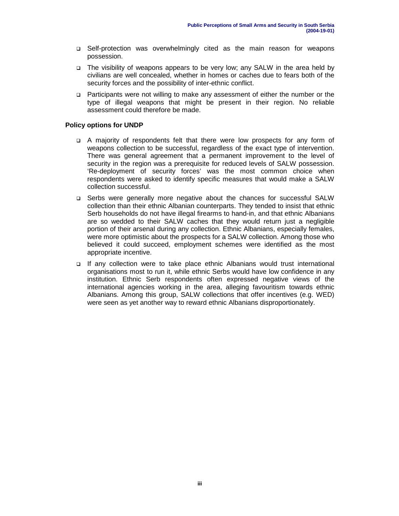- ! Self-protection was overwhelmingly cited as the main reason for weapons possession.
- ! The visibility of weapons appears to be very low; any SALW in the area held by civilians are well concealed, whether in homes or caches due to fears both of the security forces and the possibility of inter-ethnic conflict.
- ! Participants were not willing to make any assessment of either the number or the type of illegal weapons that might be present in their region. No reliable assessment could therefore be made.

### **Policy options for UNDP**

- ! A majority of respondents felt that there were low prospects for any form of weapons collection to be successful, regardless of the exact type of intervention. There was general agreement that a permanent improvement to the level of security in the region was a prerequisite for reduced levels of SALW possession. 'Re-deployment of security forces' was the most common choice when respondents were asked to identify specific measures that would make a SALW collection successful.
- ! Serbs were generally more negative about the chances for successful SALW collection than their ethnic Albanian counterparts. They tended to insist that ethnic Serb households do not have illegal firearms to hand-in, and that ethnic Albanians are so wedded to their SALW caches that they would return just a negligible portion of their arsenal during any collection. Ethnic Albanians, especially females, were more optimistic about the prospects for a SALW collection. Among those who believed it could succeed, employment schemes were identified as the most appropriate incentive.
- ! If any collection were to take place ethnic Albanians would trust international organisations most to run it, while ethnic Serbs would have low confidence in any institution. Ethnic Serb respondents often expressed negative views of the international agencies working in the area, alleging favouritism towards ethnic Albanians. Among this group, SALW collections that offer incentives (e.g. WED) were seen as yet another way to reward ethnic Albanians disproportionately.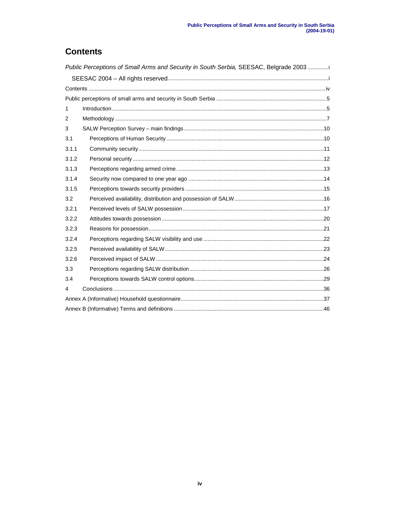# **Contents**

| Public Perceptions of Small Arms and Security in South Serbia, SEESAC, Belgrade 2003i |  |  |  |  |
|---------------------------------------------------------------------------------------|--|--|--|--|
|                                                                                       |  |  |  |  |
|                                                                                       |  |  |  |  |
|                                                                                       |  |  |  |  |
| 1                                                                                     |  |  |  |  |
| 2                                                                                     |  |  |  |  |
| 3                                                                                     |  |  |  |  |
| 3.1                                                                                   |  |  |  |  |
| 3.1.1                                                                                 |  |  |  |  |
| 3.1.2                                                                                 |  |  |  |  |
| 3.1.3                                                                                 |  |  |  |  |
| 3.1.4                                                                                 |  |  |  |  |
| 3.1.5                                                                                 |  |  |  |  |
| 3.2                                                                                   |  |  |  |  |
| 3.2.1                                                                                 |  |  |  |  |
| 3.2.2                                                                                 |  |  |  |  |
| 3.2.3                                                                                 |  |  |  |  |
| 3.2.4                                                                                 |  |  |  |  |
| 3.2.5                                                                                 |  |  |  |  |
| 3.2.6                                                                                 |  |  |  |  |
| 3.3                                                                                   |  |  |  |  |
| 3.4                                                                                   |  |  |  |  |
| 4                                                                                     |  |  |  |  |
|                                                                                       |  |  |  |  |
|                                                                                       |  |  |  |  |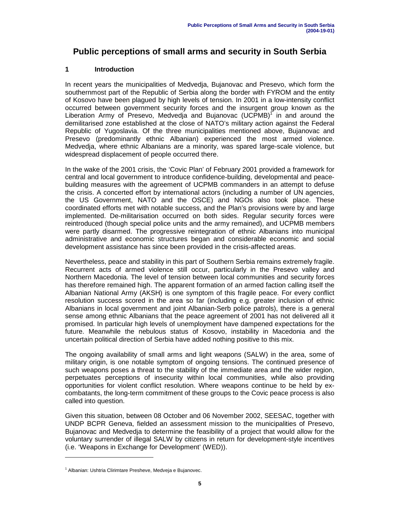# **Public perceptions of small arms and security in South Serbia**

# **1 Introduction**

In recent years the municipalities of Medvedja, Bujanovac and Presevo, which form the southernmost part of the Republic of Serbia along the border with FYROM and the entity of Kosovo have been plagued by high levels of tension. In 2001 in a low-intensity conflict occurred between government security forces and the insurgent group known as the Liberation Army of Presevo, Medvedja and Bujanovac (UCPMB)<sup>1</sup> in and around the demilitarised zone established at the close of NATO's military action against the Federal Republic of Yugoslavia. Of the three municipalities mentioned above, Bujanovac and Presevo (predominantly ethnic Albanian) experienced the most armed violence. Medvedja, where ethnic Albanians are a minority, was spared large-scale violence, but widespread displacement of people occurred there.

In the wake of the 2001 crisis, the 'Covic Plan' of February 2001 provided a framework for central and local government to introduce confidence-building, developmental and peacebuilding measures with the agreement of UCPMB commanders in an attempt to defuse the crisis. A concerted effort by international actors (including a number of UN agencies, the US Government, NATO and the OSCE) and NGOs also took place. These coordinated efforts met with notable success, and the Plan's provisions were by and large implemented. De-militarisation occurred on both sides. Regular security forces were reintroduced (though special police units and the army remained), and UCPMB members were partly disarmed. The progressive reintegration of ethnic Albanians into municipal administrative and economic structures began and considerable economic and social development assistance has since been provided in the crisis-affected areas.

Nevertheless, peace and stability in this part of Southern Serbia remains extremely fragile. Recurrent acts of armed violence still occur, particularly in the Presevo valley and Northern Macedonia. The level of tension between local communities and security forces has therefore remained high. The apparent formation of an armed faction calling itself the Albanian National Army (AKSH) is one symptom of this fragile peace. For every conflict resolution success scored in the area so far (including e.g. greater inclusion of ethnic Albanians in local government and joint Albanian-Serb police patrols), there is a general sense among ethnic Albanians that the peace agreement of 2001 has not delivered all it promised. In particular high levels of unemployment have dampened expectations for the future. Meanwhile the nebulous status of Kosovo, instability in Macedonia and the uncertain political direction of Serbia have added nothing positive to this mix.

The ongoing availability of small arms and light weapons (SALW) in the area, some of military origin, is one notable symptom of ongoing tensions. The continued presence of such weapons poses a threat to the stability of the immediate area and the wider region, perpetuates perceptions of insecurity within local communities, while also providing opportunities for violent conflict resolution. Where weapons continue to be held by excombatants, the long-term commitment of these groups to the Covic peace process is also called into question.

Given this situation, between 08 October and 06 November 2002, SEESAC, together with UNDP BCPR Geneva, fielded an assessment mission to the municipalities of Presevo, Bujanovac and Medvedja to determine the feasibility of a project that would allow for the voluntary surrender of illegal SALW by citizens in return for development-style incentives (i.e. 'Weapons in Exchange for Development' (WED)).

<sup>&</sup>lt;sup>1</sup> Albanian: Ushtria Clirimtare Presheve, Medveja e Bujanovec.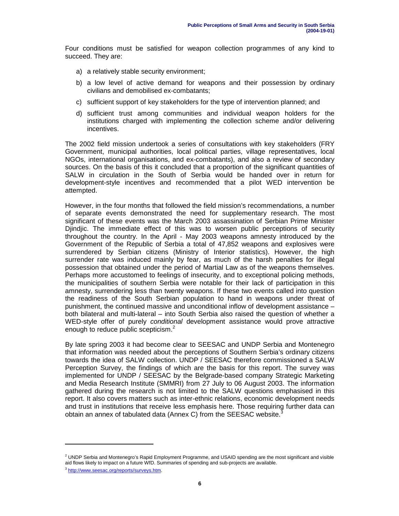Four conditions must be satisfied for weapon collection programmes of any kind to succeed. They are:

- a) a relatively stable security environment;
- b) a low level of active demand for weapons and their possession by ordinary civilians and demobilised ex-combatants;
- c) sufficient support of key stakeholders for the type of intervention planned; and
- d) sufficient trust among communities and individual weapon holders for the institutions charged with implementing the collection scheme and/or delivering incentives.

The 2002 field mission undertook a series of consultations with key stakeholders (FRY Government, municipal authorities, local political parties, village representatives, local NGOs, international organisations, and ex-combatants), and also a review of secondary sources. On the basis of this it concluded that a proportion of the significant quantities of SALW in circulation in the South of Serbia would be handed over in return for development-style incentives and recommended that a pilot WED intervention be attempted.

However, in the four months that followed the field mission's recommendations, a number of separate events demonstrated the need for supplementary research. The most significant of these events was the March 2003 assassination of Serbian Prime Minister Djindjic. The immediate effect of this was to worsen public perceptions of security throughout the country. In the April - May 2003 weapons amnesty introduced by the Government of the Republic of Serbia a total of 47,852 weapons and explosives were surrendered by Serbian citizens (Ministry of Interior statistics). However, the high surrender rate was induced mainly by fear, as much of the harsh penalties for illegal possession that obtained under the period of Martial Law as of the weapons themselves. Perhaps more accustomed to feelings of insecurity, and to exceptional policing methods, the municipalities of southern Serbia were notable for their lack of participation in this amnesty, surrendering less than twenty weapons. If these two events called into question the readiness of the South Serbian population to hand in weapons under threat of punishment, the continued massive and unconditional inflow of development assistance – both bilateral and multi-lateral – into South Serbia also raised the question of whether a WED-style offer of purely conditional development assistance would prove attractive enough to reduce public scepticism.<sup>2</sup>

By late spring 2003 it had become clear to SEESAC and UNDP Serbia and Montenegro that information was needed about the perceptions of Southern Serbia's ordinary citizens towards the idea of SALW collection. UNDP / SEESAC therefore commissioned a SALW Perception Survey, the findings of which are the basis for this report. The survey was implemented for UNDP / SEESAC by the Belgrade-based company Strategic Marketing and Media Research Institute (SMMRI) from 27 July to 06 August 2003. The information gathered during the research is not limited to the SALW questions emphasised in this report. It also covers matters such as inter-ethnic relations, economic development needs and trust in institutions that receive less emphasis here. Those requiring further data can obtain an annex of tabulated data (Annex C) from the SEESAC website.<sup>3</sup>

 $<sup>2</sup>$  UNDP Serbia and Montenegro's Rapid Employment Programme, and USAID spending are the most significant and visible</sup> aid flows likely to impact on a future WfD. Summaries of spending and sub-projects are available.

<sup>3</sup> http://www.seesac.org/reports/surveys.htm.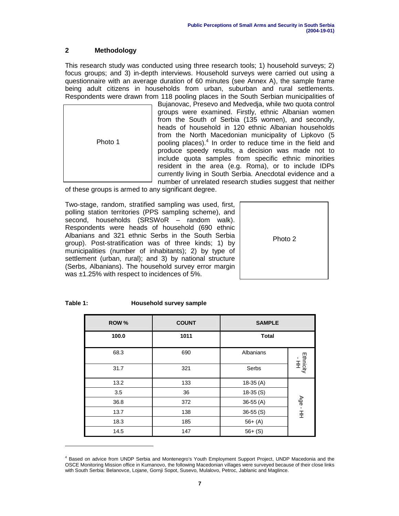# **2 Methodology**

This research study was conducted using three research tools; 1) household surveys; 2) focus groups; and 3) in-depth interviews. Household surveys were carried out using a questionnaire with an average duration of 60 minutes (see Annex A), the sample frame being adult citizens in households from urban, suburban and rural settlements. Respondents were drawn from 118 pooling places in the South Serbian municipalities of



Bujanovac, Presevo and Medvedja, while two quota control groups were examined. Firstly, ethnic Albanian women from the South of Serbia (135 women), and secondly, heads of household in 120 ethnic Albanian households from the North Macedonian municipality of Lipkovo (5 pooling places).<sup>4</sup> In order to reduce time in the field and produce speedy results, a decision was made not to include quota samples from specific ethnic minorities resident in the area (e.g. Roma), or to include IDPs currently living in South Serbia. Anecdotal evidence and a number of unrelated research studies suggest that neither

of these groups is armed to any significant degree.

Two-stage, random, stratified sampling was used, first, polling station territories (PPS sampling scheme), and second, households (SRSWoR – random walk). Respondents were heads of household (690 ethnic Albanians and 321 ethnic Serbs in the South Serbia group). Post-stratification was of three kinds; 1) by municipalities (number of inhabitants); 2) by type of settlement (urban, rural); and 3) by national structure (Serbs, Albanians). The household survey error margin was ±1.25% with respect to incidences of 5%.



#### **Household survey sample**

| ROW % | <b>COUNT</b> | <b>SAMPLE</b> |                   |  |
|-------|--------------|---------------|-------------------|--|
| 100.0 | 1011         | <b>Total</b>  |                   |  |
| 68.3  | 690          | Albanians     |                   |  |
| 31.7  | 321          | Serbs         | Ethnicity<br>- HH |  |
| 13.2  | 133          | $18-35(A)$    |                   |  |
| 3.5   | 36           | $18-35(S)$    | Age - HH          |  |
| 36.8  | 372          | $36-55(A)$    |                   |  |
| 13.7  | 138          | $36-55(S)$    |                   |  |
| 18.3  | 185          | $56+ (A)$     |                   |  |
| 14.5  | 147          | $56+ (S)$     |                   |  |

<sup>4</sup> Based on advice from UNDP Serbia and Montenegro's Youth Employment Support Project, UNDP Macedonia and the OSCE Monitoring Mission office in Kumanovo, the following Macedonian villages were surveyed because of their close links with South Serbia: Belanovce, Lojane, Gornji Sopot, Susevo, Mulalovo, Petroc, Jablanic and Maglince.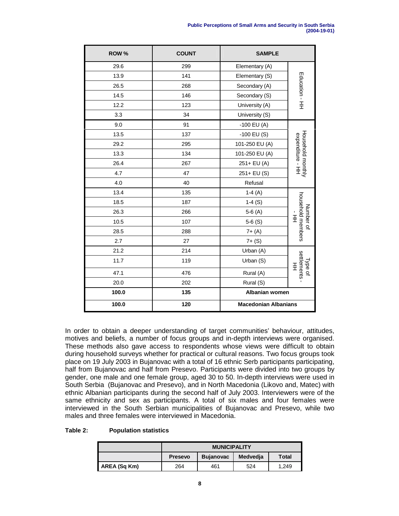| ROW % | <b>COUNT</b> | <b>SAMPLE</b>               |                                       |
|-------|--------------|-----------------------------|---------------------------------------|
| 29.6  | 299          | Elementary (A)              |                                       |
| 13.9  | 141          | Elementary (S)              |                                       |
| 26.5  | 268          | Secondary (A)               | Education - HH                        |
| 14.5  | 146          | Secondary (S)               |                                       |
| 12.2  | 123          | University (A)              |                                       |
| 3.3   | 34           | University (S)              |                                       |
| 9.0   | 91           | $-100$ EU (A)               |                                       |
| 13.5  | 137          | $-100$ EU (S)               |                                       |
| 29.2  | 295          | 101-250 EU (A)              |                                       |
| 13.3  | 134          | 101-250 EU (A)              |                                       |
| 26.4  | 267          | 251+ EU (A)                 |                                       |
| 4.7   | 47           | 251+ EU (S)                 | Household monthly<br>expenditure - HH |
| 4.0   | 40           | Refusal                     |                                       |
| 13.4  | 135          | $1-4(A)$                    |                                       |
| 18.5  | 187          | $1-4(S)$                    | household members                     |
| 26.3  | 266          | $5-6(A)$                    | Number of                             |
| 10.5  | 107          | $5-6(S)$                    | :<br>主                                |
| 28.5  | 288          | $7 + (A)$                   |                                       |
| 2.7   | 27           | $7 + (S)$                   |                                       |
| 21.2  | 214          | Urban (A)                   |                                       |
| 11.7  | 119          | Urban (S)                   | settlements<br>Type of<br>王           |
| 47.1  | 476          | Rural (A)                   |                                       |
| 20.0  | 202          | Rural (S)                   |                                       |
| 100.0 | 135          | Albanian women              |                                       |
| 100.0 | 120          | <b>Macedonian Albanians</b> |                                       |

In order to obtain a deeper understanding of target communities' behaviour, attitudes, motives and beliefs, a number of focus groups and in-depth interviews were organised. These methods also gave access to respondents whose views were difficult to obtain during household surveys whether for practical or cultural reasons. Two focus groups took place on 19 July 2003 in Bujanovac with a total of 16 ethnic Serb participants participating, half from Bujanovac and half from Presevo. Participants were divided into two groups by gender, one male and one female group, aged 30 to 50. In-depth interviews were used in South Serbia (Bujanovac and Presevo), and in North Macedonia (Likovo and, Matec) with ethnic Albanian participants during the second half of July 2003. Interviewers were of the same ethnicity and sex as participants. A total of six males and four females were interviewed in the South Serbian municipalities of Bujanovac and Presevo, while two males and three females were interviewed in Macedonia.

#### **Table 2: Population statistics**

|              | <b>MUNICIPALITY</b> |                  |          |       |
|--------------|---------------------|------------------|----------|-------|
|              | <b>Presevo</b>      | <b>Bujanovac</b> | Medvedja | Total |
| AREA (Sq Km) | 264                 | 461              | 524      | 1.249 |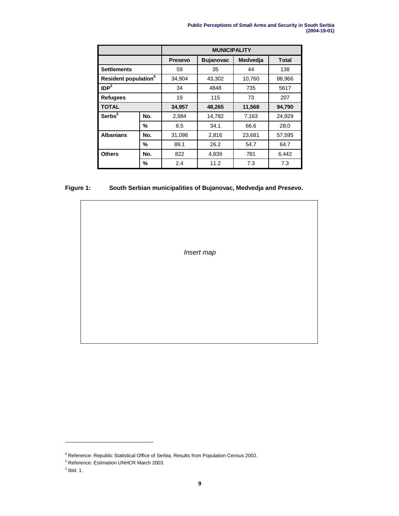| <b>Public Perceptions of Small Arms and Security in South Serbia</b> |  |                    |
|----------------------------------------------------------------------|--|--------------------|
|                                                                      |  | $(2004 - 19 - 01)$ |

|                                  |     | <b>MUNICIPALITY</b> |                  |          |              |
|----------------------------------|-----|---------------------|------------------|----------|--------------|
|                                  |     | <b>Presevo</b>      | <b>Bujanovac</b> | Medvedia | <b>Total</b> |
| <b>Settlements</b>               |     | 59                  | 35               | 44       | 138          |
| Resident population <sup>5</sup> |     | 34,904              | 43,302           | 10,760   | 88,966       |
| IDP <sup>2</sup>                 |     | 34                  | 4848             | 735      | 5617         |
| <b>Refugees</b>                  |     | 19                  | 115              | 73       | 207          |
| TOTAL                            |     | 34,957              | 48,265           | 11,568   | 94,790       |
| Serbs <sup>3</sup>               | No. | 2,984               | 14,782           | 7,163    | 24,929       |
|                                  | %   | 8.5                 | 34.1             | 66.6     | 28.0         |
| <b>Albanians</b>                 | No. | 31,098              | 2,816            | 23,681   | 57,595       |
|                                  | %   | 89.1                | 26.2             | 54.7     | 64.7         |
| <b>Others</b>                    | No. | 822                 | 4,839            | 781      | 6,442        |
|                                  | %   | 2.4                 | 11.2             | 7.3      | 7.3          |

# **Figure 1: South Serbian municipalities of Bujanovac, Medvedja and Presevo.**

| Insert map |  |
|------------|--|
|            |  |
|            |  |
|            |  |

<sup>5</sup> Reference: Republic Statistical Office of Serbia, Results from Population Census 2002.

<sup>2</sup> Reference: Estimation UNHCR March 2003.

 $3$  Ibid. 1.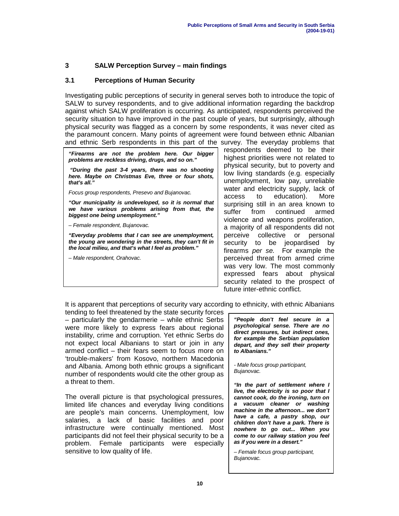# **3 SALW Perception Survey – main findings**

### **3.1 Perceptions of Human Security**

Investigating public perceptions of security in general serves both to introduce the topic of SALW to survey respondents, and to give additional information regarding the backdrop against which SALW proliferation is occurring. As anticipated, respondents perceived the security situation to have improved in the past couple of years, but surprisingly, although physical security was flagged as a concern by some respondents, it was never cited as the paramount concern. Many points of agreement were found between ethnic Albanian and ethnic Serb respondents in this part of the survey. The everyday problems that

**"Firearms are not the problem here. Our bigger problems are reckless driving, drugs, and so on."**

**"During the past 3-4 years, there was no shooting here. Maybe on Christmas Eve, three or four shots, that's all."**

Focus group respondents, Presevo and Bujanovac.

**"Our municipality is undeveloped, so it is normal that we have various problems arising from that, the biggest one being unemployment."**

– Female respondent, Bujanovac.

**"Everyday problems that I can see are unemployment, the young are wondering in the streets, they can't fit in the local milieu, and that's what I feel as problem."**

– Male respondent, Orahovac.

respondents deemed to be their highest priorities were not related to physical security, but to poverty and low living standards (e.g. especially unemployment, low pay, unreliable water and electricity supply, lack of access to education). More surprising still in an area known to suffer from continued armed violence and weapons proliferation, a majority of all respondents did not perceive collective or personal security to be jeopardised by firearms per se. For example the perceived threat from armed crime was very low. The most commonly expressed fears about physical security related to the prospect of future inter-ethnic conflict.

It is apparent that perceptions of security vary according to ethnicity, with ethnic Albanians

tending to feel threatened by the state security forces – particularly the gendarmerie – while ethnic Serbs were more likely to express fears about regional instability, crime and corruption. Yet ethnic Serbs do not expect local Albanians to start or join in any armed conflict – their fears seem to focus more on 'trouble-makers' from Kosovo, northern Macedonia and Albania. Among both ethnic groups a significant number of respondents would cite the other group as a threat to them.

The overall picture is that psychological pressures, limited life chances and everyday living conditions are people's main concerns. Unemployment, low salaries, a lack of basic facilities and poor infrastructure were continually mentioned. Most participants did not feel their physical security to be a problem. Female participants were especially sensitive to low quality of life.

**"People don't feel secure in a psychological sense. There are no direct pressures, but indirect ones, for example the Serbian population depart, and they sell their property to Albanians."**

- Male focus group participant, Bujanovac.

**"In the part of settlement where I live, the electricity is so poor that I cannot cook, do the ironing, turn on a vacuum cleaner or washing machine in the afternoon... we don't have a cafe, a pastry shop, our children don't have a park. There is nowhere to go out... When you come to our railway station you feel as if you were in a desert."**

– Female focus group participant, Bujanovac.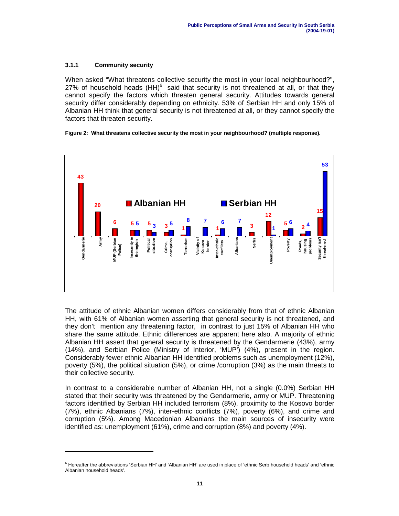### **3.1.1 Community security**

When asked "What threatens collective security the most in your local neighbourhood?", 27% of household heads  $(HH)^6$  said that security is not threatened at all, or that they cannot specify the factors which threaten general security. Attitudes towards general security differ considerably depending on ethnicity. 53% of Serbian HH and only 15% of Albanian HH think that general security is not threatened at all, or they cannot specify the factors that threaten security.

#### **Figure 2: What threatens collective security the most in your neighbourhood? (multiple response).**



The attitude of ethnic Albanian women differs considerably from that of ethnic Albanian HH, with 61% of Albanian women asserting that general security is not threatened, and they don't mention any threatening factor, in contrast to just 15% of Albanian HH who share the same attitude. Ethnic differences are apparent here also. A majority of ethnic Albanian HH assert that general security is threatened by the Gendarmerie (43%), army (14%), and Serbian Police (Ministry of Interior, 'MUP') (4%), present in the region. Considerably fewer ethnic Albanian HH identified problems such as unemployment (12%), poverty (5%), the political situation (5%), or crime /corruption (3%) as the main threats to their collective security.

In contrast to a considerable number of Albanian HH, not a single (0.0%) Serbian HH stated that their security was threatened by the Gendarmerie, army or MUP. Threatening factors identified by Serbian HH included terrorism (8%), proximity to the Kosovo border (7%), ethnic Albanians (7%), inter-ethnic conflicts (7%), poverty (6%), and crime and corruption (5%). Among Macedonian Albanians the main sources of insecurity were identified as: unemployment (61%), crime and corruption (8%) and poverty (4%).

 $6$  Hereafter the abbreviations 'Serbian HH' and 'Albanian HH' are used in place of 'ethnic Serb household heads' and 'ethnic Albanian household heads'.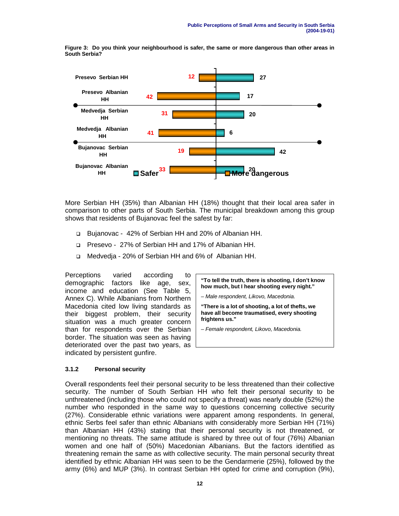**Figure 3: Do you think your neighbourhood is safer, the same or more dangerous than other areas in South Serbia?**



More Serbian HH (35%) than Albanian HH (18%) thought that their local area safer in comparison to other parts of South Serbia. The municipal breakdown among this group shows that residents of Bujanovac feel the safest by far:

- ! Bujanovac 42% of Serbian HH and 20% of Albanian HH.
- ! Presevo 27% of Serbian HH and 17% of Albanian HH.
- □ Medvedia 20% of Serbian HH and 6% of Albanian HH.

Perceptions varied according to demographic factors like age, sex, income and education (See Table 5, Annex C). While Albanians from Northern Macedonia cited low living standards as their biggest problem, their security situation was a much greater concern than for respondents over the Serbian border. The situation was seen as having deteriorated over the past two years, as indicated by persistent gunfire.

**"To tell the truth, there is shooting, I don't know how much, but I hear shooting every night."**

– Male respondent, Likovo, Macedonia.

**"There is a lot of shooting, a lot of thefts, we have all become traumatised, every shooting frightens us."**

– Female respondent, Likovo, Macedonia.

### **3.1.2 Personal security**

Overall respondents feel their personal security to be less threatened than their collective security. The number of South Serbian HH who felt their personal security to be unthreatened (including those who could not specify a threat) was nearly double (52%) the number who responded in the same way to questions concerning collective security (27%). Considerable ethnic variations were apparent among respondents. In general, ethnic Serbs feel safer than ethnic Albanians with considerably more Serbian HH (71%) than Albanian HH (43%) stating that their personal security is not threatened, or mentioning no threats. The same attitude is shared by three out of four (76%) Albanian women and one half of (50%) Macedonian Albanians. But the factors identified as threatening remain the same as with collective security. The main personal security threat identified by ethnic Albanian HH was seen to be the Gendarmerie (25%), followed by the army (6%) and MUP (3%). In contrast Serbian HH opted for crime and corruption (9%),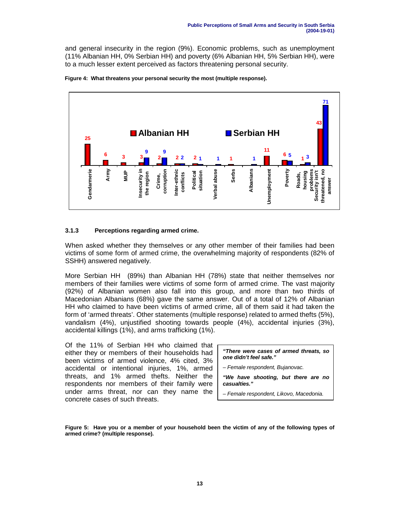and general insecurity in the region (9%). Economic problems, such as unemployment (11% Albanian HH, 0% Serbian HH) and poverty (6% Albanian HH, 5% Serbian HH), were to a much lesser extent perceived as factors threatening personal security.





#### **3.1.3 Perceptions regarding armed crime.**

When asked whether they themselves or any other member of their families had been victims of some form of armed crime, the overwhelming majority of respondents (82% of SSHH) answered negatively.

More Serbian HH (89%) than Albanian HH (78%) state that neither themselves nor members of their families were victims of some form of armed crime. The vast majority (92%) of Albanian women also fall into this group, and more than two thirds of Macedonian Albanians (68%) gave the same answer. Out of a total of 12% of Albanian HH who claimed to have been victims of armed crime, all of them said it had taken the form of 'armed threats'. Other statements (multiple response) related to armed thefts (5%), vandalism (4%), unjustified shooting towards people (4%), accidental injuries (3%), accidental killings (1%), and arms trafficking (1%).

Of the 11% of Serbian HH who claimed that either they or members of their households had been victims of armed violence, 4% cited, 3% accidental or intentional injuries, 1%, armed threats, and 1% armed thefts. Neither the respondents nor members of their family were under arms threat, nor can they name the concrete cases of such threats.

**"There were cases of armed threats, so one didn't feel safe."**

– Female respondent, Bujanovac.

**"We have shooting, but there are no casualties."**

– Female respondent, Likovo, Macedonia.

**Figure 5: Have you or a member of your household been the victim of any of the following types of armed crime? (multiple response).**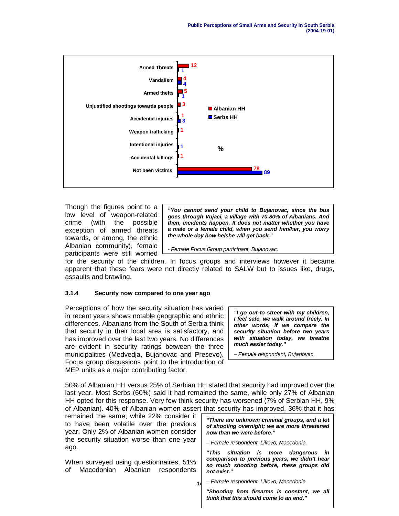

Though the figures point to a low level of weapon-related crime (with the possible exception of armed threats towards, or among, the ethnic Albanian community), female participants were still worried

**"You cannot send your child to Bujanovac, since the bus goes through Vujaci, a village with 70-80% of Albanians. And then, incidents happen. It does not matter whether you have a male or a female child, when you send him/her, you worry the whole day how he/she will get back."**

- Female Focus Group participant, Bujanovac.

for the security of the children. In focus groups and interviews however it became apparent that these fears were not directly related to SALW but to issues like, drugs, assaults and brawling.

### **3.1.4 Security now compared to one year ago**

Perceptions of how the security situation has varied in recent years shows notable geographic and ethnic differences. Albanians from the South of Serbia think that security in their local area is satisfactory, and has improved over the last two years. No differences are evident in security ratings between the three municipalities (Medvedja, Bujanovac and Presevo). Focus group discussions point to the introduction of MEP units as a major contributing factor.

**"I go out to street with my children, I feel safe, we walk around freely. In other words, if we compare the security situation before two years with situation today, we breathe much easier today."**

– Female respondent, Bujanovac.

50% of Albanian HH versus 25% of Serbian HH stated that security had improved over the last year. Most Serbs (60%) said it had remained the same, while only 27% of Albanian HH opted for this response. Very few think security has worsened (7% of Serbian HH, 9% of Albanian). 40% of Albanian women assert that security has improved, 36% that it has

**14** remained the same, while 22% consider it to have been volatile over the previous year. Only 2% of Albanian women consider the security situation worse than one year ago. When surveyed using questionnaires, 51% of Macedonian Albanian respondents **"There are unknown criminal groups, and a lot of shooting overnight; we are more threatened now than we were before."** – Female respondent, Likovo, Macedonia. **"This situation is more dangerous in comparison to previous years, we didn't hear so much shooting before, these groups did not exist."** – Female respondent, Likovo, Macedonia.

> **"Shooting from firearms is constant, we all think that this should come to an end."**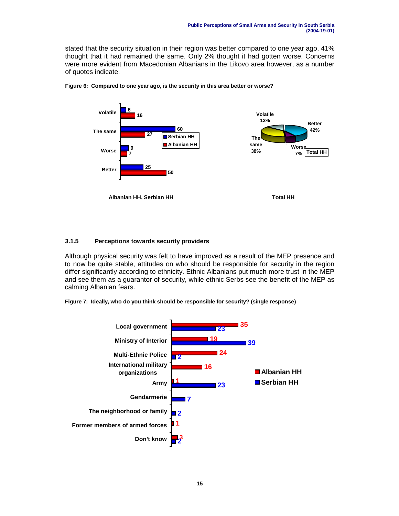stated that the security situation in their region was better compared to one year ago, 41% thought that it had remained the same. Only 2% thought it had gotten worse. Concerns were more evident from Macedonian Albanians in the Likovo area however, as a number of quotes indicate.



**Figure 6: Compared to one year ago, is the security in this area better or worse?**

### **3.1.5 Perceptions towards security providers**

Although physical security was felt to have improved as a result of the MEP presence and to now be quite stable, attitudes on who should be responsible for security in the region differ significantly according to ethnicity. Ethnic Albanians put much more trust in the MEP and see them as a guarantor of security, while ethnic Serbs see the benefit of the MEP as calming Albanian fears.

**Figure 7: Ideally, who do you think should be responsible for security? (single response)**

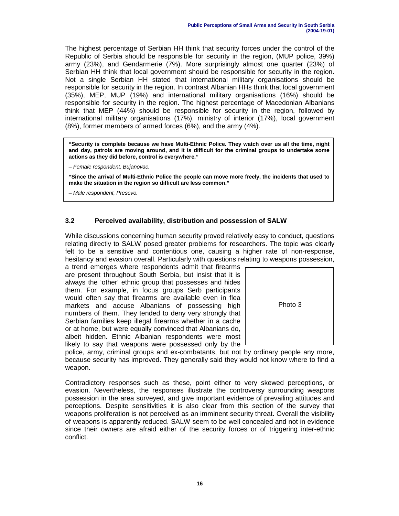The highest percentage of Serbian HH think that security forces under the control of the Republic of Serbia should be responsible for security in the region, (MUP police, 39%) army (23%), and Gendarmerie (7%). More surprisingly almost one quarter (23%) of Serbian HH think that local government should be responsible for security in the region. Not a single Serbian HH stated that international military organisations should be responsible for security in the region. In contrast Albanian HHs think that local government (35%), MEP, MUP (19%) and international military organisations (16%) should be responsible for security in the region. The highest percentage of Macedonian Albanians think that MEP (44%) should be responsible for security in the region, followed by international military organisations (17%), ministry of interior (17%), local government (8%), former members of armed forces (6%), and the army (4%).

**"Security is complete because we have Multi-Ethnic Police. They watch over us all the time, night and day, patrols are moving around, and it is difficult for the criminal groups to undertake some actions as they did before, control is everywhere."**

– Female respondent, Bujanovac.

**"Since the arrival of Multi-Ethnic Police the people can move more freely, the incidents that used to make the situation in the region so difficult are less common."**

– Male respondent, Presevo.

# **3.2 Perceived availability, distribution and possession of SALW**

While discussions concerning human security proved relatively easy to conduct, questions relating directly to SALW posed greater problems for researchers. The topic was clearly felt to be a sensitive and contentious one, causing a higher rate of non-response, hesitancy and evasion overall. Particularly with questions relating to weapons possession,

a trend emerges where respondents admit that firearms are present throughout South Serbia, but insist that it is always the 'other' ethnic group that possesses and hides them. For example, in focus groups Serb participants would often say that firearms are available even in flea markets and accuse Albanians of possessing high numbers of them. They tended to deny very strongly that Serbian families keep illegal firearms whether in a cache or at home, but were equally convinced that Albanians do, albeit hidden. Ethnic Albanian respondents were most likely to say that weapons were possessed only by the



police, army, criminal groups and ex-combatants, but not by ordinary people any more, because security has improved. They generally said they would not know where to find a weapon.

Contradictory responses such as these, point either to very skewed perceptions, or evasion. Nevertheless, the responses illustrate the controversy surrounding weapons possession in the area surveyed, and give important evidence of prevailing attitudes and perceptions. Despite sensitivities it is also clear from this section of the survey that weapons proliferation is not perceived as an imminent security threat. Overall the visibility of weapons is apparently reduced. SALW seem to be well concealed and not in evidence since their owners are afraid either of the security forces or of triggering inter-ethnic conflict.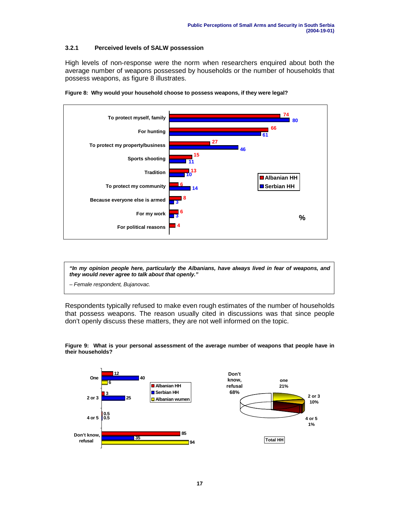### **3.2.1 Perceived levels of SALW possession**

High levels of non-response were the norm when researchers enquired about both the average number of weapons possessed by households or the number of households that possess weapons, as figure 8 illustrates.





**"In my opinion people here, particularly the Albanians, have always lived in fear of weapons, and they would never agree to talk about that openly."**

– Female respondent, Bujanovac.

Respondents typically refused to make even rough estimates of the number of households that possess weapons. The reason usually cited in discussions was that since people don't openly discuss these matters, they are not well informed on the topic.

**Figure 9: What is your personal assessment of the average number of weapons that people have in their households?**

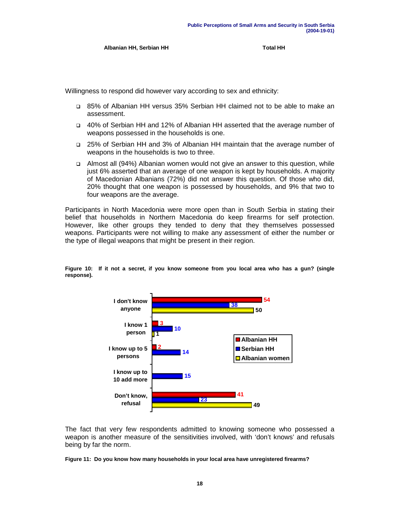Albanian HH, Serbian HH **Total HH** 

Willingness to respond did however vary according to sex and ethnicity:

- ! 85% of Albanian HH versus 35% Serbian HH claimed not to be able to make an assessment.
- ! 40% of Serbian HH and 12% of Albanian HH asserted that the average number of weapons possessed in the households is one.
- ! 25% of Serbian HH and 3% of Albanian HH maintain that the average number of weapons in the households is two to three.
- ! Almost all (94%) Albanian women would not give an answer to this question, while just 6% asserted that an average of one weapon is kept by households. A majority of Macedonian Albanians (72%) did not answer this question. Of those who did, 20% thought that one weapon is possessed by households, and 9% that two to four weapons are the average.

Participants in North Macedonia were more open than in South Serbia in stating their belief that households in Northern Macedonia do keep firearms for self protection. However, like other groups they tended to deny that they themselves possessed weapons. Participants were not willing to make any assessment of either the number or the type of illegal weapons that might be present in their region.



**Figure 10: If it not a secret, if you know someone from you local area who has a gun? (single response).**

The fact that very few respondents admitted to knowing someone who possessed a weapon is another measure of the sensitivities involved, with 'don't knows' and refusals being by far the norm.

#### **Figure 11: Do you know how many households in your local area have unregistered firearms?**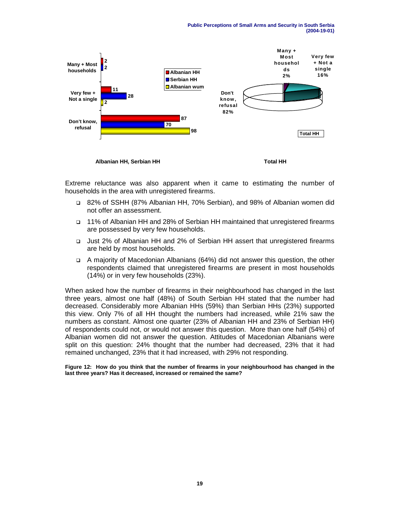

Extreme reluctance was also apparent when it came to estimating the number of households in the area with unregistered firearms.

- ! 82% of SSHH (87% Albanian HH, 70% Serbian), and 98% of Albanian women did not offer an assessment.
- ! 11% of Albanian HH and 28% of Serbian HH maintained that unregistered firearms are possessed by very few households.
- ! Just 2% of Albanian HH and 2% of Serbian HH assert that unregistered firearms are held by most households.
- ! A majority of Macedonian Albanians (64%) did not answer this question, the other respondents claimed that unregistered firearms are present in most households (14%) or in very few households (23%).

When asked how the number of firearms in their neighbourhood has changed in the last three years, almost one half (48%) of South Serbian HH stated that the number had decreased. Considerably more Albanian HHs (59%) than Serbian HHs (23%) supported this view. Only 7% of all HH thought the numbers had increased, while 21% saw the numbers as constant. Almost one quarter (23% of Albanian HH and 23% of Serbian HH) of respondents could not, or would not answer this question. More than one half (54%) of Albanian women did not answer the question. Attitudes of Macedonian Albanians were split on this question: 24% thought that the number had decreased, 23% that it had remained unchanged, 23% that it had increased, with 29% not responding.

**Figure 12: How do you think that the number of firearms in your neighbourhood has changed in the last three years? Has it decreased, increased or remained the same?**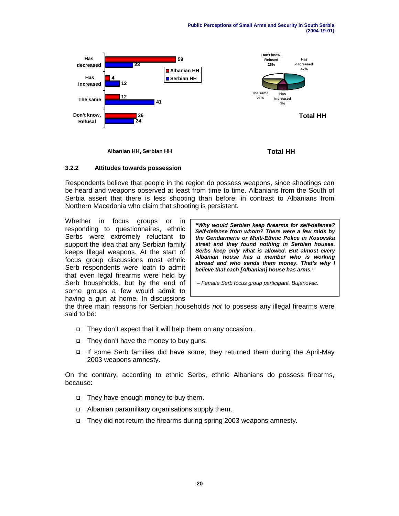

**Albanian HH, Serbian HH Total HH**

### **3.2.2 Attitudes towards possession**

Respondents believe that people in the region do possess weapons, since shootings can be heard and weapons observed at least from time to time. Albanians from the South of Serbia assert that there is less shooting than before, in contrast to Albanians from Northern Macedonia who claim that shooting is persistent.

Whether in focus groups or in responding to questionnaires, ethnic Serbs were extremely reluctant to support the idea that any Serbian family keeps Illegal weapons. At the start of focus group discussions most ethnic Serb respondents were loath to admit that even legal firearms were held by Serb households, but by the end of some groups a few would admit to having a gun at home. In discussions

**"Why would Serbian keep firearms for self-defense? Self-defense from whom? There were a few raids by the Gendarmerie or Multi-Ethnic Police in Kosovska street and they found nothing in Serbian houses. Serbs keep only what is allowed. But almost every Albanian house has a member who is working abroad and who sends them money. That's why I believe that each [Albanian] house has arms."**

– Female Serb focus group participant, Bujanovac.

the three main reasons for Serbian households not to possess any illegal firearms were said to be:

- □ They don't expect that it will help them on any occasion.
- □ They don't have the money to buy guns.
- ! If some Serb families did have some, they returned them during the April-May 2003 weapons amnesty.

On the contrary, according to ethnic Serbs, ethnic Albanians do possess firearms, because:

- □ They have enough money to buy them.
- □ Albanian paramilitary organisations supply them.
- □ They did not return the firearms during spring 2003 weapons amnesty.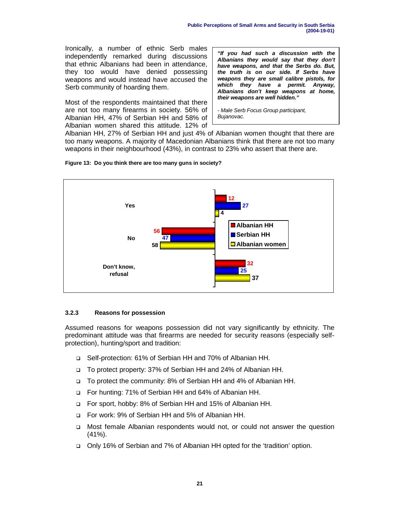Ironically, a number of ethnic Serb males independently remarked during discussions that ethnic Albanians had been in attendance, they too would have denied possessing weapons and would instead have accused the Serb community of hoarding them.

Most of the respondents maintained that there are not too many firearms in society. 56% of Albanian HH, 47% of Serbian HH and 58% of Albanian women shared this attitude. 12% of

**"If you had such a discussion with the Albanians they would say that they don't have weapons, and that the Serbs do. But, the truth is on our side. If Serbs have weapons they are small calibre pistols, for which they have a permit. Anyway, Albanians don't keep weapons at home, their weapons are well hidden."**

- Male Serb Focus Group participant, Bujanovac.

Albanian HH, 27% of Serbian HH and just 4% of Albanian women thought that there are too many weapons. A majority of Macedonian Albanians think that there are not too many weapons in their neighbourhood (43%), in contrast to 23% who assert that there are.





#### **3.2.3 Reasons for possession**

Assumed reasons for weapons possession did not vary significantly by ethnicity. The predominant attitude was that firearms are needed for security reasons (especially selfprotection), hunting/sport and tradition:

- □ Self-protection: 61% of Serbian HH and 70% of Albanian HH.
- ! To protect property: 37% of Serbian HH and 24% of Albanian HH.
- □ To protect the community: 8% of Serbian HH and 4% of Albanian HH.
- □ For hunting: 71% of Serbian HH and 64% of Albanian HH.
- ! For sport, hobby: 8% of Serbian HH and 15% of Albanian HH.
- ! For work: 9% of Serbian HH and 5% of Albanian HH.
- ! Most female Albanian respondents would not, or could not answer the question  $(41\%)$ .
- ! Only 16% of Serbian and 7% of Albanian HH opted for the 'tradition' option.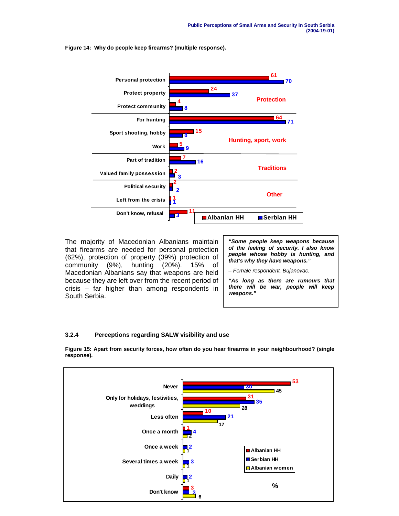**Figure 14: Why do people keep firearms? (multiple response).**



The majority of Macedonian Albanians maintain that firearms are needed for personal protection (62%), protection of property (39%) protection of community (9%), hunting (20%). 15% of Macedonian Albanians say that weapons are held because they are left over from the recent period of crisis – far higher than among respondents in South Serbia.

**"Some people keep weapons because of the feeling of security. I also know people whose hobby is hunting, and that's why they have weapons."**

– Female respondent, Bujanovac.

**"As long as there are rumours that there will be war, people will keep weapons."**

### **3.2.4 Perceptions regarding SALW visibility and use**

**Figure 15: Apart from security forces, how often do you hear firearms in your neighbourhood? (single response).**

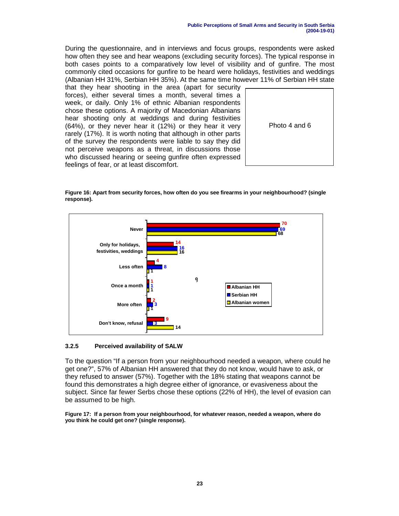During the questionnaire, and in interviews and focus groups, respondents were asked how often they see and hear weapons (excluding security forces). The typical response in both cases points to a comparatively low level of visibility and of gunfire. The most commonly cited occasions for gunfire to be heard were holidays, festivities and weddings (Albanian HH 31%, Serbian HH 35%). At the same time however 11% of Serbian HH state

that they hear shooting in the area (apart for security forces), either several times a month, several times a week, or daily. Only 1% of ethnic Albanian respondents chose these options. A majority of Macedonian Albanians hear shooting only at weddings and during festivities (64%), or they never hear it (12%) or they hear it very rarely (17%). It is worth noting that although in other parts of the survey the respondents were liable to say they did not perceive weapons as a threat, in discussions those who discussed hearing or seeing gunfire often expressed feelings of fear, or at least discomfort.





**Figure 16: Apart from security forces, how often do you see firearms in your neighbourhood? (single response).**

### **3.2.5 Perceived availability of SALW**

To the question "If a person from your neighbourhood needed a weapon, where could he get one?", 57% of Albanian HH answered that they do not know, would have to ask, or they refused to answer (57%). Together with the 18% stating that weapons cannot be found this demonstrates a high degree either of ignorance, or evasiveness about the subject. Since far fewer Serbs chose these options (22% of HH), the level of evasion can be assumed to be high.

**Figure 17: If a person from your neighbourhood, for whatever reason, needed a weapon, where do you think he could get one? (single response).**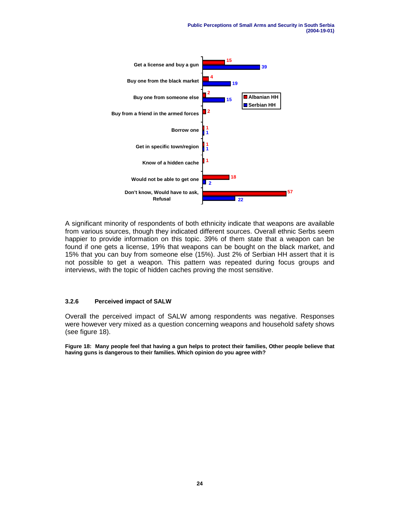**Public Perceptions of Small Arms and Security in South Serbia (2004-19-01)**



A significant minority of respondents of both ethnicity indicate that weapons are available from various sources, though they indicated different sources. Overall ethnic Serbs seem happier to provide information on this topic. 39% of them state that a weapon can be found if one gets a license, 19% that weapons can be bought on the black market, and 15% that you can buy from someone else (15%). Just 2% of Serbian HH assert that it is not possible to get a weapon. This pattern was repeated during focus groups and interviews, with the topic of hidden caches proving the most sensitive.

#### **3.2.6 Perceived impact of SALW**

Overall the perceived impact of SALW among respondents was negative. Responses were however very mixed as a question concerning weapons and household safety shows (see figure 18).

**Figure 18: Many people feel that having a gun helps to protect their families, Other people believe that having guns is dangerous to their families. Which opinion do you agree with?**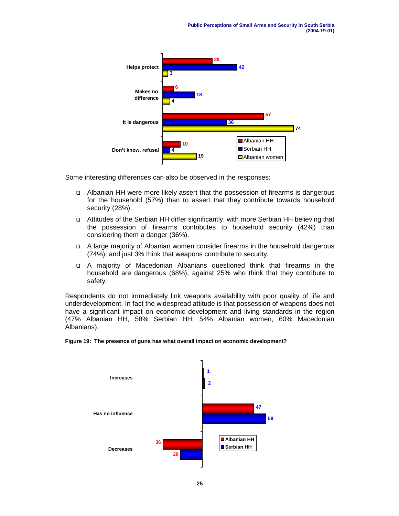

Some interesting differences can also be observed in the responses:

- ! Albanian HH were more likely assert that the possession of firearms is dangerous for the household (57%) than to assert that they contribute towards household security (28%).
- ! Attitudes of the Serbian HH differ significantly, with more Serbian HH believing that the possession of firearms contributes to household security (42%) than considering them a danger (36%).
- ! A large majority of Albanian women consider firearms in the household dangerous (74%), and just 3% think that weapons contribute to security.
- ! A majority of Macedonian Albanians questioned think that firearms in the household are dangerous (68%), against 25% who think that they contribute to safety.

Respondents do not immediately link weapons availability with poor quality of life and underdevelopment. In fact the widespread attitude is that possession of weapons does not have a significant impact on economic development and living standards in the region (47% Albanian HH, 58% Serbian HH, 54% Albanian women, 60% Macedonian Albanians).

#### **Figure 19: The presence of guns has what overall impact on economic development?**

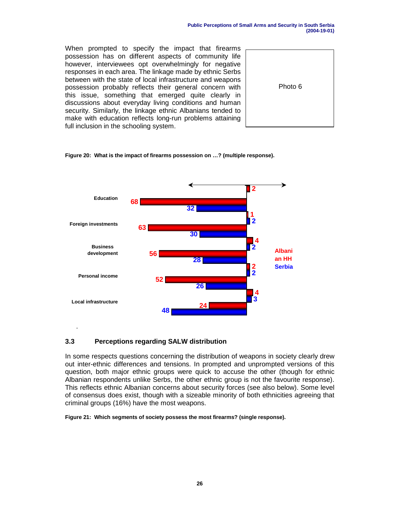When prompted to specify the impact that firearms possession has on different aspects of community life however, interviewees opt overwhelmingly for negative responses in each area. The linkage made by ethnic Serbs between with the state of local infrastructure and weapons possession probably reflects their general concern with this issue, something that emerged quite clearly in discussions about everyday living conditions and human security. Similarly, the linkage ethnic Albanians tended to make with education reflects long-run problems attaining full inclusion in the schooling system.



#### **Figure 20: What is the impact of firearms possession on …? (multiple response).**



# **3.3 Perceptions regarding SALW distribution**

In some respects questions concerning the distribution of weapons in society clearly drew out inter-ethnic differences and tensions. In prompted and unprompted versions of this question, both major ethnic groups were quick to accuse the other (though for ethnic Albanian respondents unlike Serbs, the other ethnic group is not the favourite response). This reflects ethnic Albanian concerns about security forces (see also below). Some level of consensus does exist, though with a sizeable minority of both ethnicities agreeing that criminal groups (16%) have the most weapons.

**Figure 21: Which segments of society possess the most firearms? (single response).**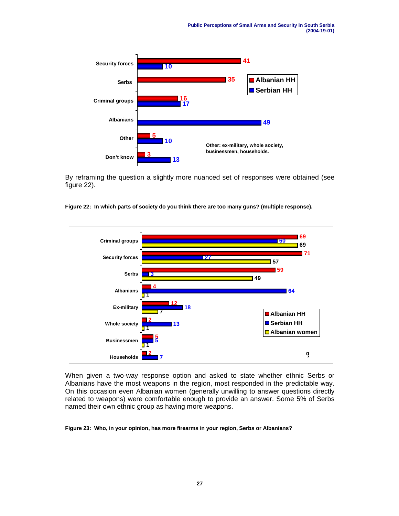

By reframing the question a slightly more nuanced set of responses were obtained (see figure 22).





When given a two-way response option and asked to state whether ethnic Serbs or Albanians have the most weapons in the region, most responded in the predictable way. On this occasion even Albanian women (generally unwilling to answer questions directly related to weapons) were comfortable enough to provide an answer. Some 5% of Serbs named their own ethnic group as having more weapons.

**Figure 23: Who, in your opinion, has more firearms in your region, Serbs or Albanians?**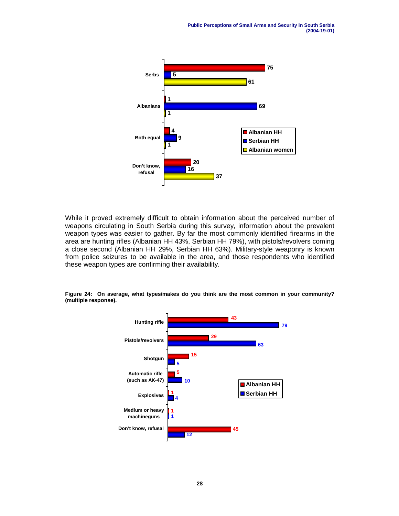

While it proved extremely difficult to obtain information about the perceived number of weapons circulating in South Serbia during this survey, information about the prevalent weapon types was easier to gather. By far the most commonly identified firearms in the area are hunting rifles (Albanian HH 43%, Serbian HH 79%), with pistols/revolvers coming a close second (Albanian HH 29%, Serbian HH 63%). Military-style weaponry is known from police seizures to be available in the area, and those respondents who identified these weapon types are confirming their availability.

**Figure 24: On average, what types/makes do you think are the most common in your community? (multiple response).**

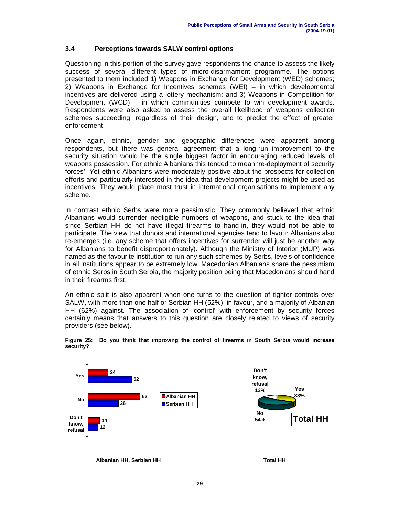# **3.4 Perceptions towards SALW control options**

Questioning in this portion of the survey gave respondents the chance to assess the likely success of several different types of micro-disarmament programme. The options presented to them included 1) Weapons in Exchange for Development (WED) schemes; 2) Weapons in Exchange for Incentives schemes (WEI) – in which developmental incentives are delivered using a lottery mechanism; and 3) Weapons in Competition for Development (WCD) – in which communities compete to win development awards. Respondents were also asked to assess the overall likelihood of weapons collection schemes succeeding, regardless of their design, and to predict the effect of greater enforcement.

Once again, ethnic, gender and geographic differences were apparent among respondents, but there was general agreement that a long-run improvement to the security situation would be the single biggest factor in encouraging reduced levels of weapons possession. For ethnic Albanians this tended to mean 're-deployment of security forces'. Yet ethnic Albanians were moderately positive about the prospects for collection efforts and particularly interested in the idea that development projects might be used as incentives. They would place most trust in international organisations to implement any scheme.

In contrast ethnic Serbs were more pessimistic. They commonly believed that ethnic Albanians would surrender negligible numbers of weapons, and stuck to the idea that since Serbian HH do not have illegal firearms to hand-in, they would not be able to participate. The view that donors and international agencies tend to favour Albanians also re-emerges (i.e. any scheme that offers incentives for surrender will just be another way for Albanians to benefit disproportionately). Although the Ministry of Interior (MUP) was named as the favourite institution to run any such schemes by Serbs, levels of confidence in all institutions appear to be extremely low. Macedonian Albanians share the pessimism of ethnic Serbs in South Serbia, the majority position being that Macedonians should hand in their firearms first.

An ethnic split is also apparent when one turns to the question of tighter controls over SALW, with more than one half or Serbian HH (52%), in favour, and a majority of Albanian HH (62%) against. The association of 'control' with enforcement by security forces certainly means that answers to this question are closely related to views of security providers (see below).



**Figure 25: Do you think that improving the control of firearms in South Serbia would increase security?**

Albanian HH, Serbian HH **Total HH**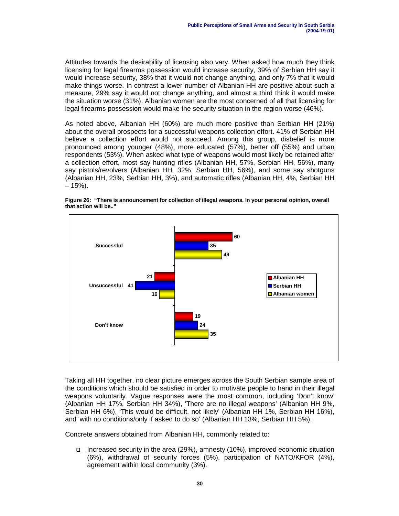Attitudes towards the desirability of licensing also vary. When asked how much they think licensing for legal firearms possession would increase security, 39% of Serbian HH say it would increase security, 38% that it would not change anything, and only 7% that it would make things worse. In contrast a lower number of Albanian HH are positive about such a measure, 29% say it would not change anything, and almost a third think it would make the situation worse (31%). Albanian women are the most concerned of all that licensing for legal firearms possession would make the security situation in the region worse (46%).

As noted above, Albanian HH (60%) are much more positive than Serbian HH (21%) about the overall prospects for a successful weapons collection effort. 41% of Serbian HH believe a collection effort would not succeed. Among this group, disbelief is more pronounced among younger (48%), more educated (57%), better off (55%) and urban respondents (53%). When asked what type of weapons would most likely be retained after a collection effort, most say hunting rifles (Albanian HH, 57%, Serbian HH, 56%), many say pistols/revolvers (Albanian HH, 32%, Serbian HH, 56%), and some say shotguns (Albanian HH, 23%, Serbian HH, 3%), and automatic rifles (Albanian HH, 4%, Serbian HH – 15%).



**Figure 26: "There is announcement for collection of illegal weapons. In your personal opinion, overall that action will be.."**

Taking all HH together, no clear picture emerges across the South Serbian sample area of the conditions which should be satisfied in order to motivate people to hand in their illegal weapons voluntarily. Vague responses were the most common, including 'Don't know' (Albanian HH 17%, Serbian HH 34%), 'There are no illegal weapons' (Albanian HH 9%, Serbian HH 6%), 'This would be difficult, not likely' (Albanian HH 1%, Serbian HH 16%), and 'with no conditions/only if asked to do so' (Albanian HH 13%, Serbian HH 5%).

Concrete answers obtained from Albanian HH, commonly related to:

! Increased security in the area (29%), amnesty (10%), improved economic situation (6%), withdrawal of security forces (5%), participation of NATO/KFOR (4%), agreement within local community (3%).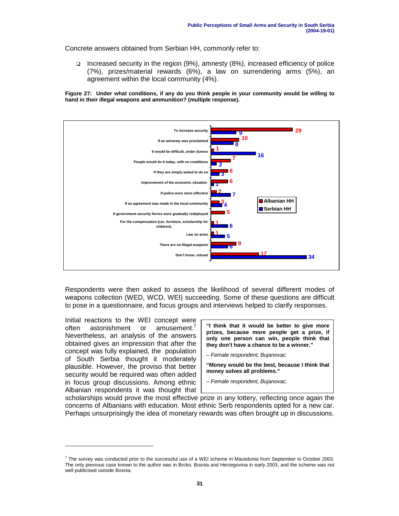Concrete answers obtained from Serbian HH, commonly refer to:

! Increased security in the region (9%), amnesty (8%), increased efficiency of police (7%), prizes/material rewards (6%), a law on surrendering arms (5%), an agreement within the local community (4%).

**Figure 27: Under what conditions, if any do you think people in your community would be willing to hand in their illegal weapons and ammunition? (multiple response).**



Respondents were then asked to assess the likelihood of several different modes of weapons collection (WED, WCD, WEI) succeeding. Some of these questions are difficult to pose in a questionnaire, and focus groups and interviews helped to clarify responses.

Initial reactions to the WEI concept were often astonishment or amusement. Nevertheless, an analysis of the answers obtained gives an impression that after the concept was fully explained, the population of South Serbia thought it moderately plausible. However, the proviso that better security would be required was often added in focus group discussions. Among ethnic Albanian respondents it was thought that

**"I think that it would be better to give more prizes, because more people get a prize, if only one person can win, people think that they don't have a chance to be a winner."**

– Female respondent, Bujanovac.

**"Money would be the best, because I think that money solves all problems."**

– Female respondent, Bujanovac.

scholarships would prove the most effective prize in any lottery, reflecting once again the concerns of Albanians with education. Most ethnic Serb respondents opted for a new car. Perhaps unsurprisingly the idea of monetary rewards was often brought up in discussions.

 $^7$  The survey was conducted prior to the successful use of a WEI scheme in Macedonia from September to October 2003. The only previous case known to the author was in Brcko, Bosnia and Herzegovina in early 2003, and the scheme was not well publicised outside Bosnia.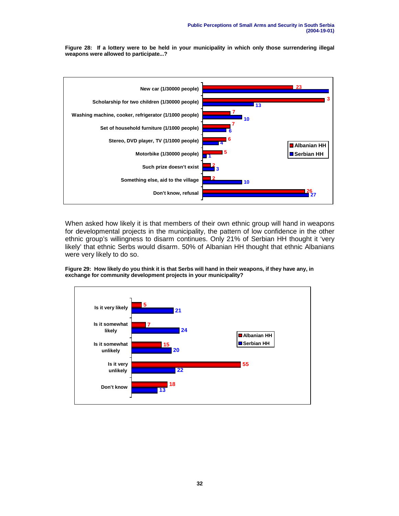**Figure 28: If a lottery were to be held in your municipality in which only those surrendering illegal weapons were allowed to participate...?**



When asked how likely it is that members of their own ethnic group will hand in weapons for developmental projects in the municipality, the pattern of low confidence in the other ethnic group's willingness to disarm continues. Only 21% of Serbian HH thought it 'very likely' that ethnic Serbs would disarm. 50% of Albanian HH thought that ethnic Albanians were very likely to do so.

**Figure 29: How likely do you think it is that Serbs will hand in their weapons, if they have any, in exchange for community development projects in your municipality?**

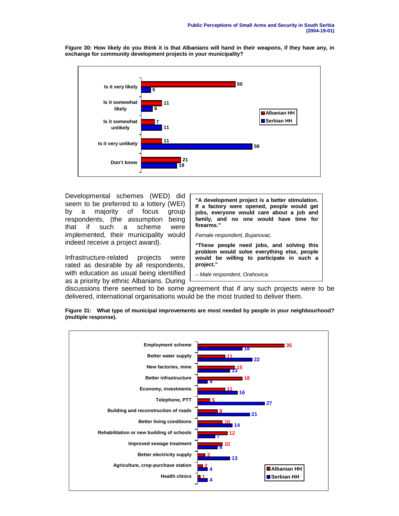**50 11 7 11 21 5 6 11 59 19 Is it very likely Is it somewhat likely Is it somewhat unlikely Is it very unlikely Don't know Albanian HH Serbian HH** 

**Figure 30: How likely do you think it is that Albanians will hand in their weapons, if they have any, in exchange for community development projects in your municipality?**

Developmental schemes (WED) did seem to be preferred to a lottery (WEI) by a majority of focus group respondents, (the assumption being that if such a scheme were implemented, their municipality would indeed receive a project award).

Infrastructure-related projects were rated as desirable by all respondents, with education as usual being identified as a priority by ethnic Albanians. During

**"A development project is a better stimulation. If a factory were opened, people would get jobs, everyone would care about a job and family, and no one would have time for firearms."**

Female respondent, Bujanovac.

**"These people need jobs, and solving this problem would solve everything else, people would be willing to participate in such a project."**

– Male respondent, Orahovica.

discussions there seemed to be some agreement that if any such projects were to be delivered, international organisations would be the most trusted to deliver them.



**Figure 31: What type of municipal improvements are most needed by people in your neighbourhood? (multiple response).**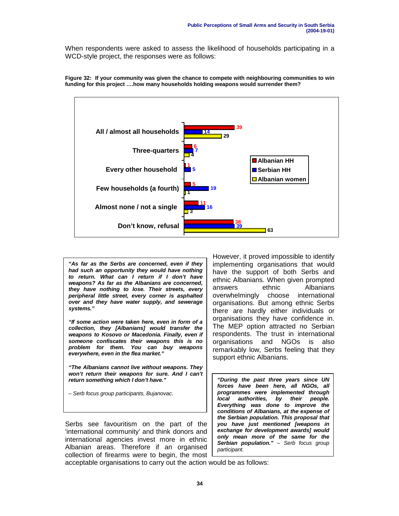When respondents were asked to assess the likelihood of households participating in a WCD-style project, the responses were as follows:



**Figure 32: If your community was given the chance to compete with neighbouring communities to win funding for this project ….how many households holding weapons would surrender them?**

**"As far as the Serbs are concerned, even if they had such an opportunity they would have nothing to return. What can I return if I don't have weapons? As far as the Albanians are concerned, they have nothing to lose. Their streets, every peripheral little street, every corner is asphalted over and they have water supply, and sewerage systems."**

**"If some action were taken here, even in form of a collection, they [Albanians] would transfer the weapons to Kosovo or Macedonia. Finally, even if someone confiscates their weapons this is no problem for them. You can buy weapons everywhere, even in the flea market."**

**"The Albanians cannot live without weapons. They won't return their weapons for sure. And I can't return something which I don't have."**

– Serb focus group participants, Bujanovac.

Serbs see favouritism on the part of the 'international community' and think donors and international agencies invest more in ethnic Albanian areas. Therefore if an organised collection of firearms were to begin, the most

However, it proved impossible to identify implementing organisations that would have the support of both Serbs and ethnic Albanians. When given prompted answers ethnic Albanians overwhelmingly choose international organisations. But among ethnic Serbs there are hardly either individuals or organisations they have confidence in. The MEP option attracted no Serbian respondents. The trust in international organisations and NGOs is also remarkably low, Serbs feeling that they support ethnic Albanians.

**"During the past three years since UN forces have been here, all NGOs, all programmes were implemented through local authorities, by their people. Everything was done to improve the conditions of Albanians, at the expense of the Serbian population. This proposal that you have just mentioned [weapons in exchange for development awards] would only mean more of the same for the Serbian population."** – Serb focus group participant.

acceptable organisations to carry out the action would be as follows: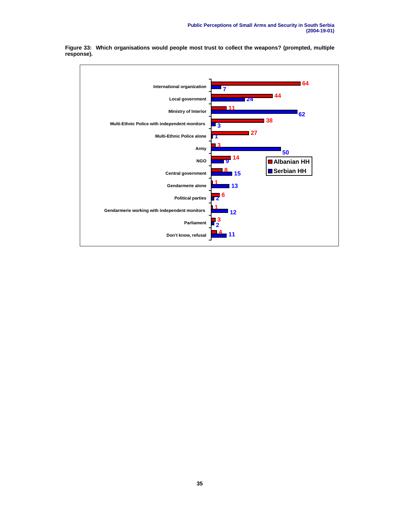

**Figure 33: Which organisations would people most trust to collect the weapons? (prompted, multiple response).**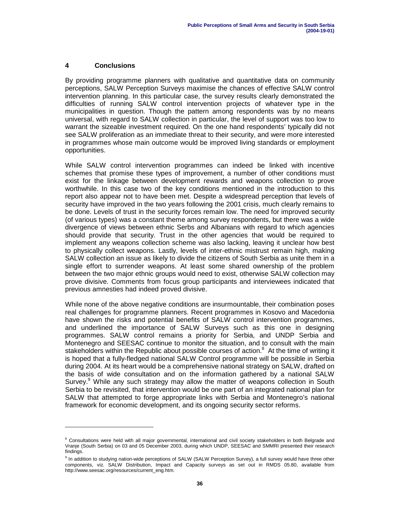### **4 Conclusions**

By providing programme planners with qualitative and quantitative data on community perceptions, SALW Perception Surveys maximise the chances of effective SALW control intervention planning. In this particular case, the survey results clearly demonstrated the difficulties of running SALW control intervention projects of whatever type in the municipalities in question. Though the pattern among respondents was by no means universal, with regard to SALW collection in particular, the level of support was too low to warrant the sizeable investment required. On the one hand respondents' typically did not see SALW proliferation as an immediate threat to their security, and were more interested in programmes whose main outcome would be improved living standards or employment opportunities.

While SALW control intervention programmes can indeed be linked with incentive schemes that promise these types of improvement, a number of other conditions must exist for the linkage between development rewards and weapons collection to prove worthwhile. In this case two of the key conditions mentioned in the introduction to this report also appear not to have been met. Despite a widespread perception that levels of security have improved in the two years following the 2001 crisis, much clearly remains to be done. Levels of trust in the security forces remain low. The need for improved security (of various types) was a constant theme among survey respondents, but there was a wide divergence of views between ethnic Serbs and Albanians with regard to which agencies should provide that security. Trust in the other agencies that would be required to implement any weapons collection scheme was also lacking, leaving it unclear how best to physically collect weapons. Lastly, levels of inter-ethnic mistrust remain high, making SALW collection an issue as likely to divide the citizens of South Serbia as unite them in a single effort to surrender weapons. At least some shared ownership of the problem between the two major ethnic groups would need to exist, otherwise SALW collection may prove divisive. Comments from focus group participants and interviewees indicated that previous amnesties had indeed proved divisive.

While none of the above negative conditions are insurmountable, their combination poses real challenges for programme planners. Recent programmes in Kosovo and Macedonia have shown the risks and potential benefits of SALW control intervention programmes, and underlined the importance of SALW Surveys such as this one in designing programmes. SALW control remains a priority for Serbia, and UNDP Serbia and Montenegro and SEESAC continue to monitor the situation, and to consult with the main stakeholders within the Republic about possible courses of action. $8$  At the time of writing it is hoped that a fully-fledged national SALW Control programme will be possible in Serbia during 2004. At its heart would be a comprehensive national strategy on SALW, drafted on the basis of wide consultation and on the information gathered by a national SALW Survey.<sup>9</sup> While any such strategy may allow the matter of weapons collection in South Serbia to be revisited, that intervention would be one part of an integrated national plan for SALW that attempted to forge appropriate links with Serbia and Montenegro's national framework for economic development, and its ongoing security sector reforms.

<sup>&</sup>lt;sup>8</sup> Consultations were held with all major governmental, international and civil society stakeholders in both Belgrade and Vranje (South Serbia) on 03 and 05 December 2003, during which UNDP, SEESAC and SMMRI presented their research findings.

<sup>&</sup>lt;sup>9</sup> In addition to studying nation-wide perceptions of SALW (SALW Perception Survey), a full survey would have three other components, viz. SALW Distribution, Impact and Capacity surveys as set out in RMDS 05.80, available from http://www.seesac.org/resources/current\_eng.htm.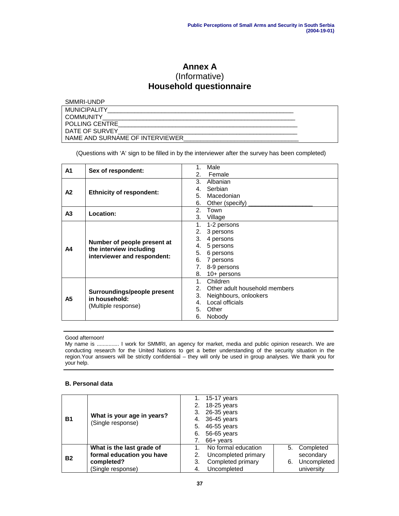# **Annex A** (Informative) **Household questionnaire**

| SMMRI-UNDP                      |  |
|---------------------------------|--|
| <b>MUNICIPALITY</b>             |  |
| <b>COMMUNITY</b>                |  |
| <b>POLLING CENTRE</b>           |  |
| DATE OF SURVEY                  |  |
| NAME AND SURNAME OF INTERVIEWER |  |

(Questions with 'A' sign to be filled in by the interviewer after the survey has been completed)

| A <sub>1</sub> |                                                                                       | Male                               |
|----------------|---------------------------------------------------------------------------------------|------------------------------------|
|                | Sex of respondent:                                                                    | Female<br>2.                       |
|                |                                                                                       | 3.<br>Albanian                     |
| A2             |                                                                                       | Serbian<br>4.                      |
|                | <b>Ethnicity of respondent:</b>                                                       | 5. Macedonian                      |
|                |                                                                                       | Other (specify)<br>6.              |
| A <sub>3</sub> | Location:                                                                             | 2 <sup>1</sup><br>Town             |
|                |                                                                                       | 3. Village                         |
|                |                                                                                       | 1.<br>1-2 persons                  |
|                |                                                                                       | 3 persons<br>2.                    |
|                | Number of people present at<br>the interview including<br>interviewer and respondent: | 4 persons<br>3.                    |
| A4             |                                                                                       | 5 persons<br>4.                    |
|                |                                                                                       | 5.<br>6 persons                    |
|                |                                                                                       | 6. 7 persons                       |
|                |                                                                                       | 8-9 persons<br>7.                  |
|                |                                                                                       | 8.<br>$10+$ persons                |
|                |                                                                                       | Children<br>$1_{-}$                |
|                |                                                                                       | Other adult household members<br>2 |
| А5             | Surroundings/people present<br>in household:<br>(Multiple response)                   | Neighbours, onlookers<br>3.        |
|                |                                                                                       | Local officials<br>$4_{-}$         |
|                |                                                                                       | Other<br>5.                        |
|                |                                                                                       | Nobody<br>6.                       |

Good afternoon!

My name is ............... I work for SMMRI, an agency for market, media and public opinion research. We are conducting research for the United Nations to get a better understanding of the security situation in the region.Your answers will be strictly confidential – they will only be used in group analyses. We thank you for your help.

### **B. Personal data**

| B1        | What is your age in years?<br>(Single response)                                           | 1.<br>2.<br>3.<br>4.<br>5.<br>6. | 15-17 years<br>18-25 years<br>26-35 years<br>36-45 years<br>46-55 years<br>56-65 years<br>66+ years |          |                                                     |
|-----------|-------------------------------------------------------------------------------------------|----------------------------------|-----------------------------------------------------------------------------------------------------|----------|-----------------------------------------------------|
| <b>B2</b> | What is the last grade of<br>formal education you have<br>completed?<br>(Single response) | 2.<br>3.<br>-4.                  | No formal education<br>Uncompleted primary<br>Completed primary<br>Uncompleted                      | 5.<br>6. | Completed<br>secondary<br>Uncompleted<br>university |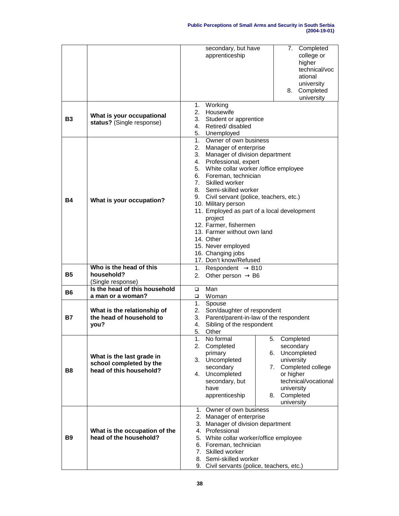|           |                                                                                 | secondary, but have<br>Completed<br>7.<br>apprenticeship<br>college or<br>higher<br>technical/voc<br>ational<br>university<br>Completed<br>8.<br>university                                                                                                                                                                                                                                                                                                                                                                              |
|-----------|---------------------------------------------------------------------------------|------------------------------------------------------------------------------------------------------------------------------------------------------------------------------------------------------------------------------------------------------------------------------------------------------------------------------------------------------------------------------------------------------------------------------------------------------------------------------------------------------------------------------------------|
| B3        | What is your occupational<br>status? (Single response)                          | 1. Working<br>2. Housewife<br>3.<br>Student or apprentice<br>Retired/ disabled<br>4.<br>5. Unemployed                                                                                                                                                                                                                                                                                                                                                                                                                                    |
| Β4        | What is your occupation?                                                        | 1. Owner of own business<br>2.<br>Manager of enterprise<br>Manager of division department<br>3.<br>4. Professional, expert<br>5. White collar worker /office employee<br>6. Foreman, technician<br>7 <sub>1</sub><br>Skilled worker<br>8. Semi-skilled worker<br>Civil servant (police, teachers, etc.)<br>9.<br>10. Military person<br>11. Employed as part of a local development<br>project<br>12. Farmer, fishermen<br>13. Farmer without own land<br>14. Other<br>15. Never employed<br>16. Changing jobs<br>17. Don't know/Refused |
| <b>B5</b> | Who is the head of this<br>household?<br>(Single response)                      | Respondent $\rightarrow$ B10<br>1.<br>Other person $\rightarrow$ B6<br>2.                                                                                                                                                                                                                                                                                                                                                                                                                                                                |
| B6        | Is the head of this household<br>a man or a woman?                              | Man<br>$\Box$<br>Woman<br>$\Box$                                                                                                                                                                                                                                                                                                                                                                                                                                                                                                         |
| Β7        | What is the relationship of<br>the head of household to<br>you?                 | 1.<br>Spouse<br>2.<br>Son/daughter of respondent<br>Parent/parent-in-law of the respondent<br>3.<br>Sibling of the respondent<br>4.<br>5.<br>Other                                                                                                                                                                                                                                                                                                                                                                                       |
| <b>B8</b> | What is the last grade in<br>school completed by the<br>head of this household? | No formal<br>5. Completed<br>1.<br>2.<br>Completed<br>secondary<br>Uncompleted<br>primary<br>6.<br>3.<br>Uncompleted<br>university<br>Completed college<br>secondary<br>7.<br>4. Uncompleted<br>or higher<br>technical/vocational<br>secondary, but<br>university<br>have<br>Completed<br>apprenticeship<br>8.<br>university                                                                                                                                                                                                             |
| <b>B9</b> | What is the occupation of the<br>head of the household?                         | 1. Owner of own business<br>2. Manager of enterprise<br>3. Manager of division department<br>4. Professional<br>5. White collar worker/office employee<br>6. Foreman, technician<br>7. Skilled worker<br>8. Semi-skilled worker<br>9. Civil servants (police, teachers, etc.)                                                                                                                                                                                                                                                            |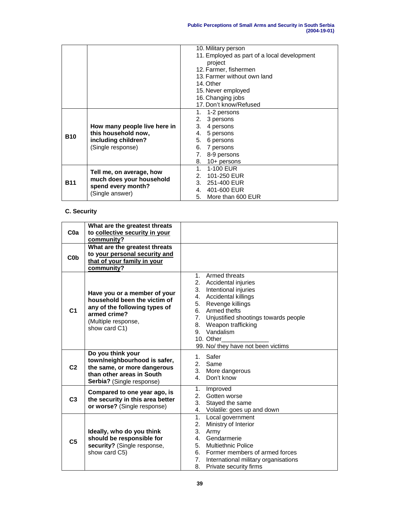|            |                              | 10. Military person                                  |  |  |  |  |  |  |
|------------|------------------------------|------------------------------------------------------|--|--|--|--|--|--|
|            |                              | 11. Employed as part of a local development          |  |  |  |  |  |  |
|            |                              | project                                              |  |  |  |  |  |  |
|            |                              | 12. Farmer, fishermen<br>13. Farmer without own land |  |  |  |  |  |  |
|            |                              |                                                      |  |  |  |  |  |  |
|            |                              | 14. Other                                            |  |  |  |  |  |  |
|            |                              | 15. Never employed                                   |  |  |  |  |  |  |
|            |                              | 16. Changing jobs                                    |  |  |  |  |  |  |
|            |                              | 17. Don't know/Refused                               |  |  |  |  |  |  |
|            |                              | 1. 1-2 persons                                       |  |  |  |  |  |  |
|            |                              | 3 persons<br>2.                                      |  |  |  |  |  |  |
|            | How many people live here in | 3. 4 persons                                         |  |  |  |  |  |  |
| <b>B10</b> | this household now,          | 4. 5 persons                                         |  |  |  |  |  |  |
|            | including children?          | 5. 6 persons                                         |  |  |  |  |  |  |
|            | (Single response)            | 6. 7 persons                                         |  |  |  |  |  |  |
|            |                              | 7. 8-9 persons                                       |  |  |  |  |  |  |
|            |                              | 8. $10+$ persons                                     |  |  |  |  |  |  |
|            | Tell me, on average, how     | 1. 1-100 EUR                                         |  |  |  |  |  |  |
|            | much does your household     | 2. 101-250 EUR                                       |  |  |  |  |  |  |
| <b>B11</b> | spend every month?           | 3. 251-400 EUR                                       |  |  |  |  |  |  |
|            | (Single answer)              | 4. 401-600 EUR                                       |  |  |  |  |  |  |
|            |                              | More than 600 EUR<br>5.                              |  |  |  |  |  |  |

# **C. Security**

| Coa              | What are the greatest threats<br>to collective security in your<br>community?                                                                         |                                                                                                                                                                                                                                                                                                    |
|------------------|-------------------------------------------------------------------------------------------------------------------------------------------------------|----------------------------------------------------------------------------------------------------------------------------------------------------------------------------------------------------------------------------------------------------------------------------------------------------|
| C <sub>0</sub> b | What are the greatest threats<br>to your personal security and<br>that of your family in your<br>community?                                           |                                                                                                                                                                                                                                                                                                    |
| C <sub>1</sub>   | Have you or a member of your<br>household been the victim of<br>any of the following types of<br>armed crime?<br>(Multiple response,<br>show card C1) | 1. Armed threats<br>2. Accidental injuries<br>3. Intentional injuries<br>4. Accidental killings<br>5. Revenge killings<br>6. Armed thefts<br>7. Unjustified shootings towards people<br>Weapon trafficking<br>8.<br>Vandalism<br>9 <sub>1</sub><br>10. Other<br>99. No/ they have not been victims |
| C <sub>2</sub>   | Do you think your<br>town/neighbourhood is safer,<br>the same, or more dangerous<br>than other areas in South<br><b>Serbia?</b> (Single response)     | Safer<br>1<br>2. Same<br>3. More dangerous<br>Don't know<br>4 <sup>1</sup>                                                                                                                                                                                                                         |
| C <sub>3</sub>   | Compared to one year ago, is<br>the security in this area better<br>or worse? (Single response)                                                       | Improved<br>1.<br>2. Gotten worse<br>3. Stayed the same<br>4. Volatile: goes up and down                                                                                                                                                                                                           |
| C <sub>5</sub>   | Ideally, who do you think<br>should be responsible for<br>security? (Single response,<br>show card C5)                                                | 1.<br>Local government<br>2.<br>Ministry of Interior<br>3.<br>Army<br>Gendarmerie<br>4.<br>5. Multiethnic Police<br>6. Former members of armed forces<br>7. International military organisations<br>8.<br>Private security firms                                                                   |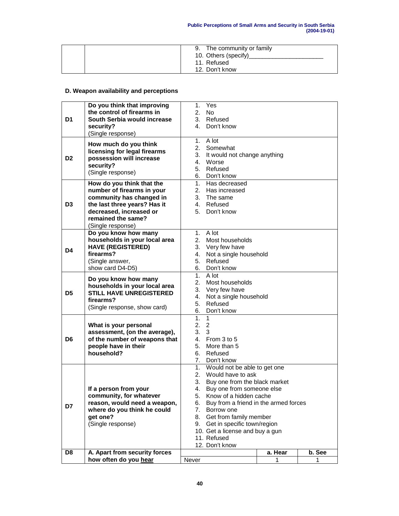|  | 9. The community or family |
|--|----------------------------|
|  | 10. Others (specify)       |
|  | 11. Refused                |
|  | 12. Don't know             |

# **D. Weapon availability and perceptions**

|    | Do you think that improving    | 1.       | Yes                                   |         |        |
|----|--------------------------------|----------|---------------------------------------|---------|--------|
|    | the control of firearms in     | 2.       | No.                                   |         |        |
| D1 | South Serbia would increase    |          | 3. Refused                            |         |        |
|    | security?                      | 4.       | Don't know                            |         |        |
|    | (Single response)              |          |                                       |         |        |
|    | How much do you think          | 1.       | A lot                                 |         |        |
|    | licensing for legal firearms   |          | 2. Somewhat                           |         |        |
| D2 | possession will increase       | 3.       | It would not change anything          |         |        |
|    | security?                      |          | 4. Worse                              |         |        |
|    | (Single response)              |          | 5. Refused                            |         |        |
|    |                                |          | 6. Don't know                         |         |        |
|    | How do you think that the      |          | 1. Has decreased                      |         |        |
|    | number of firearms in your     |          | 2. Has increased                      |         |        |
|    | community has changed in       |          | 3. The same                           |         |        |
| D3 | the last three years? Has it   |          | 4. Refused                            |         |        |
|    | decreased, increased or        | 5.       | Don't know                            |         |        |
|    | remained the same?             |          |                                       |         |        |
|    | (Single response)              |          |                                       |         |        |
|    | Do you know how many           |          | 1. A lot                              |         |        |
|    | households in your local area  |          | 2. Most households                    |         |        |
| D4 | <b>HAVE (REGISTERED)</b>       |          | 3. Very few have                      |         |        |
|    | firearms?                      |          | 4. Not a single household             |         |        |
|    | (Single answer,                |          | 5. Refused                            |         |        |
|    | show card D4-D5)               |          | 6. Don't know                         |         |        |
|    | Do you know how many           |          | 1. $A$ lot                            |         |        |
|    | households in your local area  | 2.       | Most households                       |         |        |
| D5 | <b>STILL HAVE UNREGISTERED</b> |          | 3. Very few have                      |         |        |
|    | firearms?                      |          | 4. Not a single household             |         |        |
|    | (Single response, show card)   | 5.<br>6. | Refused<br>Don't know                 |         |        |
|    |                                | 1.       | $\mathbf{1}$                          |         |        |
|    | What is your personal          | 2.2      |                                       |         |        |
|    | assessment, (on the average),  | 3.       | $\mathbf{3}$                          |         |        |
| D6 | of the number of weapons that  |          | 4. From $3$ to $5$                    |         |        |
|    | people have in their           | 5.       | More than 5                           |         |        |
|    | household?                     | 6.       | Refused                               |         |        |
|    |                                |          | 7. Don't know                         |         |        |
|    |                                |          | 1. Would not be able to get one       |         |        |
|    |                                |          | 2. Would have to ask                  |         |        |
|    |                                | 3.       | Buy one from the black market         |         |        |
|    | If a person from your          | 4.       | Buy one from someone else             |         |        |
|    | community, for whatever        | 5.       | Know of a hidden cache                |         |        |
| D7 | reason, would need a weapon,   | 6.       | Buy from a friend in the armed forces |         |        |
|    | where do you think he could    | 7.       | Borrow one                            |         |        |
|    | get one?                       | 8.       | Get from family member                |         |        |
|    | (Single response)              | 9.       | Get in specific town/region           |         |        |
|    |                                |          | 10. Get a license and buy a gun       |         |        |
|    |                                |          | 11. Refused                           |         |        |
|    |                                |          | 12. Don't know                        |         |        |
| D8 | A. Apart from security forces  |          |                                       | a. Hear | b. See |
|    | how often do you hear          | Never    |                                       | 1       | 1      |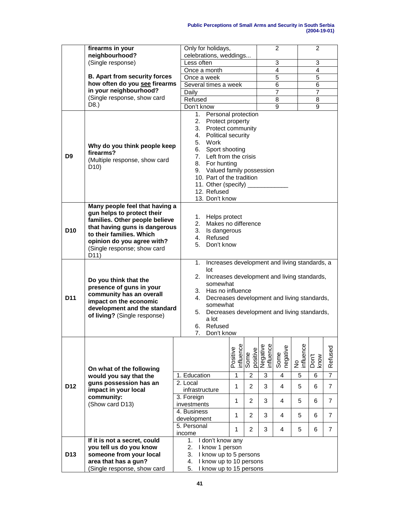#### **Public Perceptions of Small Arms and Security in South Serbia (2004-19-01)**

|                 | firearms in your                                                                                                                                                                                                                              | Only for holidays,                                                                                                                                                                                                                                                                              |                                                                                                                                                                                                                                                                             |                  |                       | $\overline{c}$          |                 | 2                |                |
|-----------------|-----------------------------------------------------------------------------------------------------------------------------------------------------------------------------------------------------------------------------------------------|-------------------------------------------------------------------------------------------------------------------------------------------------------------------------------------------------------------------------------------------------------------------------------------------------|-----------------------------------------------------------------------------------------------------------------------------------------------------------------------------------------------------------------------------------------------------------------------------|------------------|-----------------------|-------------------------|-----------------|------------------|----------------|
|                 | neighbourhood?<br>(Single response)                                                                                                                                                                                                           | celebrations, weddings<br>Less often                                                                                                                                                                                                                                                            |                                                                                                                                                                                                                                                                             |                  |                       | $\overline{3}$          |                 | 3                |                |
|                 |                                                                                                                                                                                                                                               |                                                                                                                                                                                                                                                                                                 |                                                                                                                                                                                                                                                                             |                  |                       | $\overline{\mathbf{4}}$ |                 | 4                |                |
|                 | <b>B. Apart from security forces</b>                                                                                                                                                                                                          | Once a month                                                                                                                                                                                                                                                                                    |                                                                                                                                                                                                                                                                             |                  |                       | 5                       |                 |                  |                |
|                 | how often do you see firearms                                                                                                                                                                                                                 | Once a week                                                                                                                                                                                                                                                                                     |                                                                                                                                                                                                                                                                             |                  |                       |                         |                 | 5                |                |
|                 | in your neighbourhood?                                                                                                                                                                                                                        |                                                                                                                                                                                                                                                                                                 | Several times a week                                                                                                                                                                                                                                                        |                  |                       | 6                       |                 | 6                |                |
|                 | (Single response, show card                                                                                                                                                                                                                   | Daily                                                                                                                                                                                                                                                                                           |                                                                                                                                                                                                                                                                             |                  |                       | 7                       |                 | 7                |                |
|                 | D8.)                                                                                                                                                                                                                                          | Refused                                                                                                                                                                                                                                                                                         |                                                                                                                                                                                                                                                                             |                  |                       | 8                       |                 | 8                |                |
|                 |                                                                                                                                                                                                                                               | Don't know                                                                                                                                                                                                                                                                                      |                                                                                                                                                                                                                                                                             |                  |                       | 9                       |                 | $\overline{9}$   |                |
| D <sub>9</sub>  | Why do you think people keep<br>firearms?<br>(Multiple response, show card<br>D <sub>10</sub> )                                                                                                                                               | 1. Personal protection<br>2. Protect property<br>3. Protect community<br>4. Political security<br>5. Work<br>6. Sport shooting<br>7. Left from the crisis<br>8. For hunting<br>9. Valued family possession<br>10. Part of the tradition<br>11. Other (specify)<br>12. Refused<br>13. Don't know |                                                                                                                                                                                                                                                                             |                  |                       |                         |                 |                  |                |
| D <sub>10</sub> | Many people feel that having a<br>gun helps to protect their<br>families. Other people believe<br>that having guns is dangerous<br>to their families. Which<br>opinion do you agree with?<br>(Single response; show card<br>D <sub>11</sub> ) | 5.                                                                                                                                                                                                                                                                                              | 1. Helps protect<br>2. Makes no difference<br>3. Is dangerous<br>4. Refused<br>Don't know                                                                                                                                                                                   |                  |                       |                         |                 |                  |                |
| D11             | Do you think that the<br>presence of guns in your<br>community has an overall<br>impact on the economic<br>development and the standard<br>of living? (Single response)                                                                       | 1.<br>lot<br>2.<br>a lot<br>7.                                                                                                                                                                                                                                                                  | Increases development and living standards, a<br>Increases development and living standards,<br>somewhat<br>3. Has no influence<br>4. Decreases development and living standards,<br>somewhat<br>5. Decreases development and living standards,<br>6. Refused<br>Don't know |                  |                       |                         |                 |                  |                |
|                 | On what of the following                                                                                                                                                                                                                      |                                                                                                                                                                                                                                                                                                 | influence<br>Positive                                                                                                                                                                                                                                                       | Some<br>positive | Negative<br>influence | Some<br>negative        | No<br>influence | Wou <sub>x</sub> | Refused        |
|                 | would you say that the                                                                                                                                                                                                                        | 1. Education                                                                                                                                                                                                                                                                                    | $\mathbf{1}$                                                                                                                                                                                                                                                                | $\overline{2}$   | 3                     | $\overline{4}$          | 5               | 6                | $\overline{7}$ |
| D <sub>12</sub> | guns possession has an<br>impact in your local                                                                                                                                                                                                | 2. Local<br>infrastructure                                                                                                                                                                                                                                                                      | 1                                                                                                                                                                                                                                                                           | $\overline{2}$   | 3                     | 4                       | 5               | 6                | $\overline{7}$ |
|                 | community:                                                                                                                                                                                                                                    | 3. Foreign                                                                                                                                                                                                                                                                                      | 1                                                                                                                                                                                                                                                                           | 2                | 3                     | 4                       | 5               | 6                | $\overline{7}$ |
|                 | (Show card D13)                                                                                                                                                                                                                               | investments                                                                                                                                                                                                                                                                                     |                                                                                                                                                                                                                                                                             |                  |                       |                         |                 |                  |                |
|                 |                                                                                                                                                                                                                                               | 4. Business                                                                                                                                                                                                                                                                                     | 1                                                                                                                                                                                                                                                                           | $\overline{2}$   | 3                     | 4                       | 5               | 6                | $\overline{7}$ |
|                 |                                                                                                                                                                                                                                               | development                                                                                                                                                                                                                                                                                     |                                                                                                                                                                                                                                                                             |                  |                       |                         |                 |                  |                |
|                 |                                                                                                                                                                                                                                               | 5. Personal<br>income                                                                                                                                                                                                                                                                           | 1                                                                                                                                                                                                                                                                           | $\overline{2}$   | 3                     | 4                       | 5               | 6                | $\overline{7}$ |
|                 | If it is not a secret, could                                                                                                                                                                                                                  | I don't know any<br>1.                                                                                                                                                                                                                                                                          |                                                                                                                                                                                                                                                                             |                  |                       |                         |                 |                  |                |
|                 | you tell us do you know                                                                                                                                                                                                                       | 2. I know 1 person                                                                                                                                                                                                                                                                              |                                                                                                                                                                                                                                                                             |                  |                       |                         |                 |                  |                |
| D <sub>13</sub> | someone from your local                                                                                                                                                                                                                       | 3. I know up to 5 persons                                                                                                                                                                                                                                                                       |                                                                                                                                                                                                                                                                             |                  |                       |                         |                 |                  |                |
|                 | area that has a gun?                                                                                                                                                                                                                          | 4. I know up to 10 persons                                                                                                                                                                                                                                                                      |                                                                                                                                                                                                                                                                             |                  |                       |                         |                 |                  |                |
|                 | (Single response, show card                                                                                                                                                                                                                   | 5. I know up to 15 persons                                                                                                                                                                                                                                                                      |                                                                                                                                                                                                                                                                             |                  |                       |                         |                 |                  |                |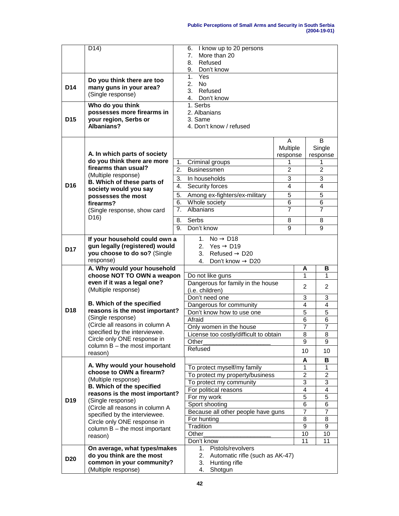|                 | D <sub>14</sub> )                                                                       |                    | I know up to 20 persons<br>6.                               |                                  |                     |                     |
|-----------------|-----------------------------------------------------------------------------------------|--------------------|-------------------------------------------------------------|----------------------------------|---------------------|---------------------|
|                 |                                                                                         | More than 20<br>7. |                                                             |                                  |                     |                     |
|                 |                                                                                         |                    | Refused<br>8.<br>Don't know<br>9.                           |                                  |                     |                     |
|                 |                                                                                         |                    | 1 <sub>1</sub><br>Yes                                       |                                  |                     |                     |
|                 | Do you think there are too                                                              |                    | 2.<br><b>No</b>                                             |                                  |                     |                     |
| D14             | many guns in your area?<br>(Single response)                                            |                    | 3.<br>Refused                                               |                                  |                     |                     |
|                 |                                                                                         |                    | 4. Don't know                                               |                                  |                     |                     |
|                 | Who do you think                                                                        |                    | 1. Serbs                                                    |                                  |                     |                     |
| D <sub>15</sub> | possesses more firearms in<br>your region, Serbs or                                     |                    | 2. Albanians<br>3. Same                                     |                                  |                     |                     |
|                 | Albanians?                                                                              |                    | 4. Don't know / refused                                     |                                  |                     |                     |
|                 |                                                                                         |                    |                                                             |                                  |                     |                     |
|                 |                                                                                         |                    |                                                             | A                                |                     | B                   |
|                 |                                                                                         |                    |                                                             | Multiple                         |                     | Single              |
|                 | A. In which parts of society<br>do you think there are more                             |                    |                                                             | response                         |                     | response            |
|                 | firearms than usual?                                                                    | 1.<br>2.           | Criminal groups<br><b>Businessmen</b>                       | 1<br>$\overline{2}$              |                     | 1<br>2              |
|                 | (Multiple response)                                                                     |                    |                                                             |                                  |                     |                     |
| D <sub>16</sub> | B. Which of these parts of                                                              | 3.<br>4.           | In households<br>Security forces                            | 3<br>$\overline{\mathcal{L}}$    |                     | 3<br>4              |
|                 | society would you say                                                                   |                    |                                                             |                                  |                     |                     |
|                 | possesses the most<br>firearms?                                                         | 5.<br>6.           | Among ex-fighters/ex-military<br>Whole society              | $\overline{5}$<br>$\overline{6}$ |                     | 5<br>6              |
|                 | (Single response, show card                                                             | 7 <sub>1</sub>     | Albanians                                                   | $\overline{7}$                   |                     | $\overline{7}$      |
|                 | D <sub>16</sub> )                                                                       |                    |                                                             |                                  |                     |                     |
|                 |                                                                                         | 8.<br>9.           | Serbs<br>Don't know                                         | 8<br>9                           |                     | 8<br>9              |
|                 |                                                                                         |                    |                                                             |                                  |                     |                     |
|                 | If your household could own a                                                           |                    | $1_{-}$<br>$No \rightarrow D18$<br>2. Yes $\rightarrow$ D19 |                                  |                     |                     |
| D <sub>17</sub> | gun legally (registered) would<br>you choose to do so? (Single                          |                    | 3. Refused $\rightarrow$ D20                                |                                  |                     |                     |
|                 | response)                                                                               |                    | Don't know $\rightarrow$ D20<br>4.                          |                                  |                     |                     |
|                 | A. Why would your household                                                             |                    |                                                             |                                  | A                   | В                   |
|                 | choose NOT TO OWN a weapon                                                              |                    | Do not like guns                                            |                                  | 1                   | 1                   |
|                 | even if it was a legal one?                                                             |                    | Dangerous for family in the house                           |                                  | $\overline{2}$      | $\overline{2}$      |
|                 | (Multiple response)                                                                     |                    | (i.e. children)<br>Don't need one                           |                                  |                     |                     |
|                 | <b>B. Which of the specified</b><br>reasons is the most important?<br>(Single response) |                    | Dangerous for community                                     |                                  |                     | 3<br>4              |
| D <sub>18</sub> |                                                                                         |                    | Don't know how to use one                                   |                                  |                     | 5                   |
|                 |                                                                                         |                    | Afraid                                                      |                                  |                     | 6                   |
|                 | (Circle all reasons in column A                                                         |                    | Only women in the house                                     |                                  |                     | $\overline{7}$      |
|                 | specified by the interviewee.<br>Circle only ONE response in                            |                    | License too costly/difficult to obtain                      |                                  |                     | $\overline{8}$      |
|                 | column $B$ – the most important                                                         |                    | Other                                                       |                                  |                     | 9                   |
|                 | reason)                                                                                 |                    | Refused                                                     |                                  | 10                  | 10                  |
|                 | A. Why would your household                                                             |                    |                                                             |                                  | A                   | В                   |
|                 | choose to OWN a firearm?                                                                |                    | To protect myself/my family                                 |                                  | 1                   | 1                   |
|                 | (Multiple response)                                                                     |                    | To protect my property/business                             |                                  | $\overline{2}$<br>3 | $\overline{2}$<br>3 |
|                 | <b>B. Which of the specified</b>                                                        |                    | To protect my community<br>For political reasons            |                                  |                     | 4                   |
|                 | reasons is the most important?                                                          |                    | For my work                                                 |                                  | 4<br>5              | 5                   |
| D <sub>19</sub> | (Single response)<br>(Circle all reasons in column A                                    |                    | Sport shooting                                              |                                  |                     | 6                   |
|                 | specified by the interviewee.                                                           |                    | Because all other people have guns                          |                                  |                     | 7                   |
|                 | Circle only ONE response in                                                             |                    | For hunting                                                 |                                  |                     | 8                   |
|                 | column $B$ – the most important                                                         |                    | Tradition                                                   |                                  |                     | 9                   |
|                 | reason)                                                                                 |                    | Other<br>Don't know                                         |                                  | 10<br>11            | 10<br>11            |
|                 | On average, what types/makes                                                            |                    | Pistols/revolvers<br>1.                                     |                                  |                     |                     |
| <b>D20</b>      | do you think are the most                                                               |                    | 2.<br>Automatic rifle (such as AK-47)                       |                                  |                     |                     |
|                 | common in your community?                                                               |                    | Hunting rifle<br>3.                                         |                                  |                     |                     |
|                 | (Multiple response)                                                                     |                    | Shotgun<br>4.                                               |                                  |                     |                     |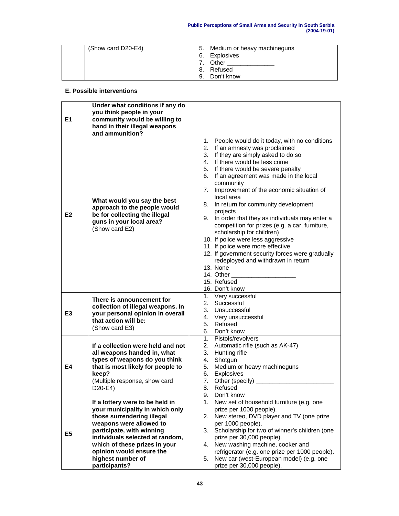| (Show card D20-E4) | 5. | Medium or heavy machineguns |
|--------------------|----|-----------------------------|
|                    |    | 6. Explosives               |
|                    | 7. | Other                       |
|                    | 8. | Refused                     |
|                    | a  | Don't know                  |

### **E. Possible interventions**

| E1             | Under what conditions if any do<br>you think people in your<br>community would be willing to                                                                                                                                                                                                   |                                                                                                                                                                                                                                                                                                                                                                                                                                                                                                                                                                                                                                                                                                                                                       |
|----------------|------------------------------------------------------------------------------------------------------------------------------------------------------------------------------------------------------------------------------------------------------------------------------------------------|-------------------------------------------------------------------------------------------------------------------------------------------------------------------------------------------------------------------------------------------------------------------------------------------------------------------------------------------------------------------------------------------------------------------------------------------------------------------------------------------------------------------------------------------------------------------------------------------------------------------------------------------------------------------------------------------------------------------------------------------------------|
|                | hand in their illegal weapons<br>and ammunition?                                                                                                                                                                                                                                               |                                                                                                                                                                                                                                                                                                                                                                                                                                                                                                                                                                                                                                                                                                                                                       |
| E <sub>2</sub> | What would you say the best<br>approach to the people would<br>be for collecting the illegal<br>guns in your local area?<br>(Show card E2)                                                                                                                                                     | People would do it today, with no conditions<br>1.<br>2. If an amnesty was proclaimed<br>3. If they are simply asked to do so<br>4. If there would be less crime<br>5. If there would be severe penalty<br>6. If an agreement was made in the local<br>community<br>7. Improvement of the economic situation of<br>local area<br>8. In return for community development<br>projects<br>9. In order that they as individuals may enter a<br>competition for prizes (e.g. a car, furniture,<br>scholarship for children)<br>10. If police were less aggressive<br>11. If police were more effective<br>12. If government security forces were gradually<br>redeployed and withdrawn in return<br>13. None<br>14. Other<br>15. Refused<br>16. Don't know |
| E <sub>3</sub> | There is announcement for<br>collection of illegal weapons. In<br>your personal opinion in overall<br>that action will be:<br>(Show card E3)                                                                                                                                                   | 1. Very successful<br>2.<br>Successful<br>3. Unsuccessful<br>4. Very unsuccessful<br>5. Refused<br>6. Don't know                                                                                                                                                                                                                                                                                                                                                                                                                                                                                                                                                                                                                                      |
| E4             | If a collection were held and not<br>all weapons handed in, what<br>types of weapons do you think<br>that is most likely for people to<br>keep?<br>(Multiple response, show card<br>D20-E4)                                                                                                    | 1. Pistols/revolvers<br>2. Automatic rifle (such as AK-47)<br>3.<br>Hunting rifle<br>Shotgun<br>4.<br>Medium or heavy machineguns<br>5.<br>6. Explosives<br>Other (specify)<br>7.<br>8. Refused<br>9.<br>Don't know                                                                                                                                                                                                                                                                                                                                                                                                                                                                                                                                   |
| E <sub>5</sub> | If a lottery were to be held in<br>your municipality in which only<br>those surrendering illegal<br>weapons were allowed to<br>participate, with winning<br>individuals selected at random,<br>which of these prizes in your<br>opinion would ensure the<br>highest number of<br>participants? | New set of household furniture (e.g. one<br>1.<br>prize per 1000 people).<br>New stereo, DVD player and TV (one prize<br>2.<br>per 1000 people).<br>Scholarship for two of winner's children (one<br>3.<br>prize per 30,000 people).<br>New washing machine, cooker and<br>4.<br>refrigerator (e.g. one prize per 1000 people).<br>New car (west-European model) (e.g. one<br>5.<br>prize per 30,000 people).                                                                                                                                                                                                                                                                                                                                         |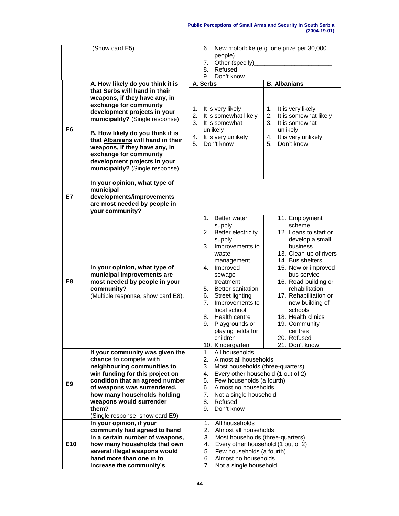|                | (Show card E5)<br>A. How likely do you think it is<br>that Serbs will hand in their<br>weapons, if they have any, in<br>exchange for community<br>development projects in your                                                                                                                      | 6.<br>people).<br>Other (specify)_<br>7.<br>Refused<br>8.<br>Don't know<br>9.<br>A. Serbs<br>It is very likely<br>1.<br>2.<br>It is somewhat likely                                                                                                                                                                                                                        | New motorbike (e.g. one prize per 30,000<br><b>B.</b> Albanians<br>It is very likely<br>1.<br>2.<br>It is somewhat likely                                                                                                                                                                                                                                |  |  |  |
|----------------|-----------------------------------------------------------------------------------------------------------------------------------------------------------------------------------------------------------------------------------------------------------------------------------------------------|----------------------------------------------------------------------------------------------------------------------------------------------------------------------------------------------------------------------------------------------------------------------------------------------------------------------------------------------------------------------------|----------------------------------------------------------------------------------------------------------------------------------------------------------------------------------------------------------------------------------------------------------------------------------------------------------------------------------------------------------|--|--|--|
| E6             | municipality? (Single response)<br>B. How likely do you think it is<br>that Albanians will hand in their<br>weapons, if they have any, in<br>exchange for community<br>development projects in your<br>municipality? (Single response)                                                              | 3.<br>It is somewhat<br>unlikely<br>It is very unlikely<br>4.<br>5.<br>Don't know                                                                                                                                                                                                                                                                                          | It is somewhat<br>3.<br>unlikely<br>It is very unlikely<br>4.<br>Don't know<br>5.                                                                                                                                                                                                                                                                        |  |  |  |
| E7             | In your opinion, what type of<br>municipal<br>developments/improvements<br>are most needed by people in<br>your community?                                                                                                                                                                          |                                                                                                                                                                                                                                                                                                                                                                            |                                                                                                                                                                                                                                                                                                                                                          |  |  |  |
| E <sub>8</sub> | In your opinion, what type of<br>municipal improvements are<br>most needed by people in your<br>community?<br>(Multiple response, show card E8).                                                                                                                                                    | <b>Better water</b><br>$1_{-}$<br>supply<br>Better electricity<br>2.<br>supply<br>3.<br>Improvements to<br>waste<br>management<br>4. Improved<br>sewage<br>treatment<br>5. Better sanitation<br><b>Street lighting</b><br>6.<br>7.<br>Improvements to<br>local school<br>Health centre<br>8.<br>9.<br>Playgrounds or<br>playing fields for<br>children<br>10. Kindergarten | 11. Employment<br>scheme<br>12. Loans to start or<br>develop a small<br>business<br>13. Clean-up of rivers<br>14. Bus shelters<br>15. New or improved<br>bus service<br>16. Road-building or<br>rehabilitation<br>17. Rehabilitation or<br>new building of<br>schools<br>18. Health clinics<br>19. Community<br>centres<br>20. Refused<br>21. Don't know |  |  |  |
| E9             | If your community was given the<br>chance to compete with<br>neighbouring communities to<br>win funding for this project on<br>condition that an agreed number<br>of weapons was surrendered,<br>how many households holding<br>weapons would surrender<br>them?<br>(Single response, show card E9) | All households<br>1.<br>2.<br>Almost all households<br>3.<br>Most households (three-quarters)<br>4.<br>Every other household (1 out of 2)<br>Few households (a fourth)<br>5.<br>Almost no households<br>6.<br>7.<br>Not a single household<br>8.<br>Refused<br>9.<br>Don't know                                                                                            |                                                                                                                                                                                                                                                                                                                                                          |  |  |  |
| E10            | In your opinion, if your<br>community had agreed to hand<br>in a certain number of weapons,<br>how many households that own<br>several illegal weapons would<br>hand more than one in to<br>increase the community's                                                                                | All households<br>1.<br>2.<br>Almost all households<br>3.<br>Most households (three-quarters)<br>Every other household (1 out of 2)<br>4.<br>5.<br>Few households (a fourth)<br>Almost no households<br>6.<br>7.<br>Not a single household                                                                                                                                 |                                                                                                                                                                                                                                                                                                                                                          |  |  |  |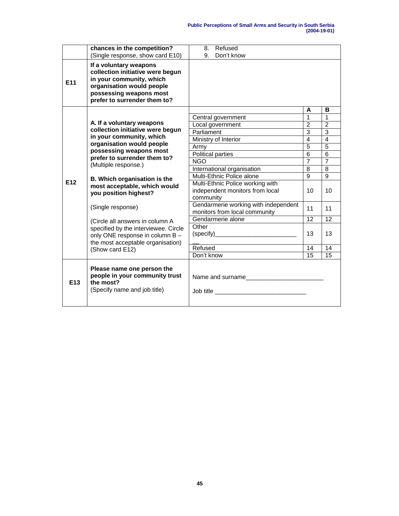|                 | chances in the competition?                                                                                                                                                                               | Refused<br>8.                                                                    |                 |                 |
|-----------------|-----------------------------------------------------------------------------------------------------------------------------------------------------------------------------------------------------------|----------------------------------------------------------------------------------|-----------------|-----------------|
|                 | (Single response, show card E10)                                                                                                                                                                          | 9.<br>Don't know                                                                 |                 |                 |
| E11             | If a voluntary weapons<br>collection initiative were begun<br>in your community, which<br>organisation would people<br>possessing weapons most<br>prefer to surrender them to?                            |                                                                                  |                 |                 |
|                 |                                                                                                                                                                                                           |                                                                                  | A               | в               |
|                 |                                                                                                                                                                                                           | Central government                                                               | $\overline{1}$  | 1               |
|                 | A. If a voluntary weapons<br>collection initiative were begun<br>in your community, which<br>organisation would people<br>possessing weapons most<br>prefer to surrender them to?<br>(Multiple response.) | Local government                                                                 | $\overline{2}$  | $\overline{2}$  |
|                 |                                                                                                                                                                                                           | Parliament                                                                       | 3               | 3               |
|                 |                                                                                                                                                                                                           | Ministry of Interior                                                             | $\overline{4}$  | $\overline{4}$  |
|                 |                                                                                                                                                                                                           | Army                                                                             | $\overline{5}$  | $\overline{5}$  |
|                 |                                                                                                                                                                                                           | Political parties                                                                | $\overline{6}$  | $\overline{6}$  |
|                 |                                                                                                                                                                                                           | <b>NGO</b>                                                                       | $\overline{7}$  | $\overline{7}$  |
|                 |                                                                                                                                                                                                           | International organisation                                                       | 8               | 8               |
|                 | B. Which organisation is the                                                                                                                                                                              | Multi-Ethnic Police alone                                                        | $\overline{9}$  | $\overline{9}$  |
| E12             | most acceptable, which would<br>you position highest?<br>(Single response)                                                                                                                                | Multi-Ethnic Police working with<br>independent monitors from local<br>community | 10              | 10              |
|                 |                                                                                                                                                                                                           | Gendarmerie working with independent<br>monitors from local community            | 11              | 11              |
|                 | (Circle all answers in column A<br>specified by the interviewee. Circle<br>only ONE response in column B -<br>the most acceptable organisation)                                                           | Gendarmerie alone                                                                | 12              | 12              |
|                 |                                                                                                                                                                                                           | Other                                                                            | 13              | 13              |
|                 | (Show card E12)                                                                                                                                                                                           | Refused                                                                          | $\overline{14}$ | $\overline{14}$ |
|                 |                                                                                                                                                                                                           | Don't know                                                                       | 15              | 15              |
| E <sub>13</sub> | Please name one person the<br>people in your community trust<br>the most?<br>(Specify name and job title)                                                                                                 | Name and surname                                                                 |                 |                 |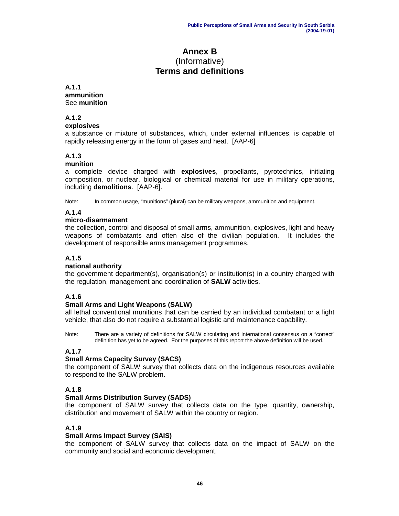# **Annex B** (Informative) **Terms and definitions**

### **A.1.1 ammunition** See **munition**

**A.1.2**

# **explosives**

a substance or mixture of substances, which, under external influences, is capable of rapidly releasing energy in the form of gases and heat. [AAP-6]

# **A.1.3**

# **munition**

a complete device charged with **explosives**, propellants, pyrotechnics, initiating composition, or nuclear, biological or chemical material for use in military operations, including **demolitions**. [AAP-6].

Note: In common usage, "munitions" (plural) can be military weapons, ammunition and equipment.

# **A.1.4**

# **micro-disarmament**

the collection, control and disposal of small arms, ammunition, explosives, light and heavy weapons of combatants and often also of the civilian population. It includes the development of responsible arms management programmes.

# **A.1.5**

# **national authority**

the government department(s), organisation(s) or institution(s) in a country charged with the regulation, management and coordination of **SALW** activities.

# **A.1.6**

# **Small Arms and Light Weapons (SALW)**

all lethal conventional munitions that can be carried by an individual combatant or a light vehicle, that also do not require a substantial logistic and maintenance capability.

Note: There are a variety of definitions for SALW circulating and international consensus on a "correct" definition has yet to be agreed. For the purposes of this report the above definition will be used.

# **A.1.7**

# **Small Arms Capacity Survey (SACS)**

the component of SALW survey that collects data on the indigenous resources available to respond to the SALW problem.

# **A.1.8**

# **Small Arms Distribution Survey (SADS)**

the component of SALW survey that collects data on the type, quantity, ownership, distribution and movement of SALW within the country or region.

# **A.1.9**

# **Small Arms Impact Survey (SAIS)**

the component of SALW survey that collects data on the impact of SALW on the community and social and economic development.